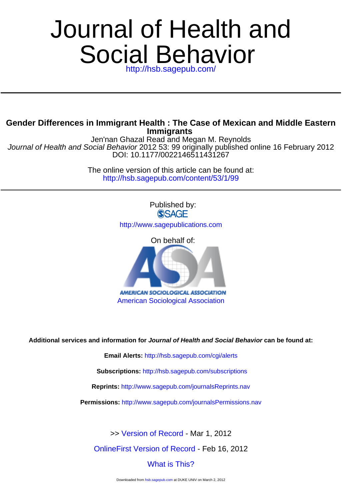## Social Behavior Journal of Health and

<http://hsb.sagepub.com/>

#### **Immigrants Gender Differences in Immigrant Health : The Case of Mexican and Middle Eastern**

DOI: 10.1177/0022146511431267 Journal of Health and Social Behavior 2012 53: 99 originally published online 16 February 2012 Jen'nan Ghazal Read and Megan M. Reynolds

> <http://hsb.sagepub.com/content/53/1/99> The online version of this article can be found at:



[American Sociological Association](http://www.asanet.org)

**Additional services and information for Journal of Health and Social Behavior can be found at:**

**Email Alerts:** <http://hsb.sagepub.com/cgi/alerts>

**Subscriptions:** <http://hsb.sagepub.com/subscriptions>

**Reprints:** <http://www.sagepub.com/journalsReprints.nav>

**Permissions:** <http://www.sagepub.com/journalsPermissions.nav>

>> [Version of Record -](http://hsb.sagepub.com/content/53/1/99.full.pdf) Mar 1, 2012

[OnlineFirst Version of Record -](http://hsb.sagepub.com/content/early/2012/02/15/0022146511431267.full.pdf) Feb 16, 2012

#### [What is This?](http://online.sagepub.com/site/sphelp/vorhelp.xhtml)

Downloaded from [hsb.sagepub.com](http://hsb.sagepub.com/) at DUKE UNIV on March 2, 2012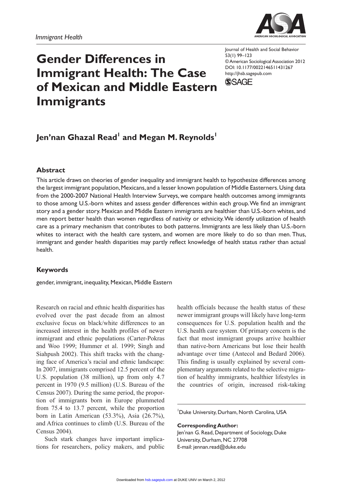

### **Gender Differences in Immigrant Health: The Case of Mexican and Middle Eastern Immigrants**

Journal of Health and Social Behavior 53(1) 99–123 © American Sociological Association 2012 DOI: 10.1177/0022146511431267 http://jhsb.sagepub.com **SSAGE** 

#### Jen'nan Ghazal Read<sup>l</sup> and Megan M. Reynolds<sup>l</sup>

#### **Abstract**

This article draws on theories of gender inequality and immigrant health to hypothesize differences among the largest immigrant population, Mexicans, and a lesser known population of Middle Easterners. Using data from the 2000-2007 National Health Interview Surveys, we compare health outcomes among immigrants to those among U.S.-born whites and assess gender differences within each group. We find an immigrant story and a gender story. Mexican and Middle Eastern immigrants are healthier than U.S.-born whites, and men report better health than women regardless of nativity or ethnicity. We identify utilization of health care as a primary mechanism that contributes to both patterns. Immigrants are less likely than U.S.-born whites to interact with the health care system, and women are more likely to do so than men. Thus, immigrant and gender health disparities may partly reflect knowledge of health status rather than actual health.

#### **Keywords**

gender, immigrant, inequality, Mexican, Middle Eastern

Research on racial and ethnic health disparities has evolved over the past decade from an almost exclusive focus on black/white differences to an increased interest in the health profiles of newer immigrant and ethnic populations (Carter-Pokras and Woo 1999; Hummer et al. 1999; Singh and Siahpush 2002). This shift tracks with the changing face of America's racial and ethnic landscape: In 2007, immigrants comprised 12.5 percent of the U.S. population (38 million), up from only 4.7 percent in 1970 (9.5 million) (U.S. Bureau of the Census 2007). During the same period, the proportion of immigrants born in Europe plummeted from 75.4 to 13.7 percent, while the proportion born in Latin American (53.3%), Asia (26.7%), and Africa continues to climb (U.S. Bureau of the Census 2004).

Such stark changes have important implications for researchers, policy makers, and public health officials because the health status of these newer immigrant groups will likely have long-term consequences for U.S. population health and the U.S. health care system. Of primary concern is the fact that most immigrant groups arrive healthier than native-born Americans but lose their health advantage over time (Antecol and Bedard 2006). This finding is usually explained by several complementary arguments related to the selective migration of healthy immigrants, healthier lifestyles in the countries of origin, increased risk-taking

1 Duke University, Durham, North Carolina, USA

**Corresponding Author:**

Jen'nan G. Read, Department of Sociology, Duke University, Durham, NC 27708 E-mail: jennan.read@duke.edu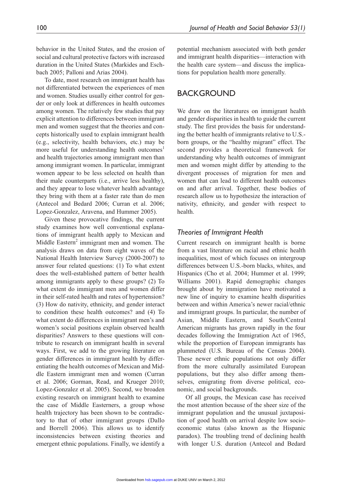behavior in the United States, and the erosion of social and cultural protective factors with increased duration in the United States (Markides and Eschbach 2005; Palloni and Arias 2004).

To date, most research on immigrant health has not differentiated between the experiences of men and women. Studies usually either control for gender or only look at differences in health outcomes among women. The relatively few studies that pay explicit attention to differences between immigrant men and women suggest that the theories and concepts historically used to explain immigrant health (e.g., selectivity, health behaviors, etc.) may be more useful for understanding health outcomes<sup>1</sup> and health trajectories among immigrant men than among immigrant women. In particular, immigrant women appear to be less selected on health than their male counterparts (i.e., arrive less healthy), and they appear to lose whatever health advantage they bring with them at a faster rate than do men (Antecol and Bedard 2006; Curran et al. 2006; Lopez-Gonzalez, Aravena, and Hummer 2005).

Given these provocative findings, the current study examines how well conventional explanations of immigrant health apply to Mexican and Middle Eastern<sup>2</sup> immigrant men and women. The analysis draws on data from eight waves of the National Health Interview Survey (2000-2007) to answer four related questions: (1) To what extent does the well-established pattern of better health among immigrants apply to these groups? (2) To what extent do immigrant men and women differ in their self-rated health and rates of hypertension? (3) How do nativity, ethnicity, and gender interact to condition these health outcomes? and (4) To what extent do differences in immigrant men's and women's social positions explain observed health disparities? Answers to these questions will contribute to research on immigrant health in several ways. First, we add to the growing literature on gender differences in immigrant health by differentiating the health outcomes of Mexican and Middle Eastern immigrant men and women (Curran et al. 2006; Gorman, Read, and Krueger 2010; Lopez-Gonzalez et al. 2005). Second, we broaden existing research on immigrant health to examine the case of Middle Easterners, a group whose health trajectory has been shown to be contradictory to that of other immigrant groups (Dallo and Borrell 2006). This allows us to identify inconsistencies between existing theories and emergent ethnic populations. Finally, we identify a

potential mechanism associated with both gender and immigrant health disparities—interaction with the health care system—and discuss the implications for population health more generally.

#### **BACKGROUND**

We draw on the literatures on immigrant health and gender disparities in health to guide the current study. The first provides the basis for understanding the better health of immigrants relative to U.S. born groups, or the "healthy migrant" effect. The second provides a theoretical framework for understanding why health outcomes of immigrant men and women might differ by attending to the divergent processes of migration for men and women that can lead to different health outcomes on and after arrival. Together, these bodies of research allow us to hypothesize the interaction of nativity, ethnicity, and gender with respect to health.

#### *Theories of Immigrant Health*

Current research on immigrant health is borne from a vast literature on racial and ethnic health inequalities, most of which focuses on intergroup differences between U.S.-born blacks, whites, and Hispanics (Cho et al. 2004; Hummer et al. 1999; Williams 2001). Rapid demographic changes brought about by immigration have motivated a new line of inquiry to examine health disparities between and within America's newer racial/ethnic and immigrant groups. In particular, the number of Asian, Middle Eastern, and South/Central American migrants has grown rapidly in the four decades following the Immigration Act of 1965, while the proportion of European immigrants has plummeted (U.S. Bureau of the Census 2004). These newer ethnic populations not only differ from the more culturally assimilated European populations, but they also differ among themselves, emigrating from diverse political, economic, and social backgrounds.

Of all groups, the Mexican case has received the most attention because of the sheer size of the immigrant population and the unusual juxtaposition of good health on arrival despite low socioeconomic status (also known as the Hispanic paradox). The troubling trend of declining health with longer U.S. duration (Antecol and Bedard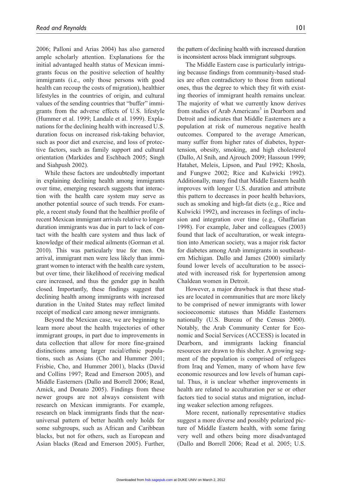2006; Palloni and Arias 2004) has also garnered ample scholarly attention. Explanations for the initial advantaged health status of Mexican immigrants focus on the positive selection of healthy immigrants (i.e., only those persons with good health can recoup the costs of migration), healthier lifestyles in the countries of origin, and cultural values of the sending countries that "buffer" immigrants from the adverse effects of U.S. lifestyle (Hummer et al. 1999; Landale et al. 1999). Explanations for the declining health with increased U.S. duration focus on increased risk-taking behavior, such as poor diet and exercise, and loss of protective factors, such as family support and cultural orientation (Markides and Eschbach 2005; Singh and Siahpush 2002).

While these factors are undoubtedly important in explaining declining health among immigrants over time, emerging research suggests that interaction with the health care system may serve as another potential source of such trends. For example, a recent study found that the healthier profile of recent Mexican immigrant arrivals relative to longer duration immigrants was due in part to lack of contact with the health care system and thus lack of knowledge of their medical ailments (Gorman et al. 2010). This was particularly true for men. On arrival, immigrant men were less likely than immigrant women to interact with the health care system, but over time, their likelihood of receiving medical care increased, and thus the gender gap in health closed. Importantly, these findings suggest that declining health among immigrants with increased duration in the United States may reflect limited receipt of medical care among newer immigrants.

Beyond the Mexican case, we are beginning to learn more about the health trajectories of other immigrant groups, in part due to improvements in data collection that allow for more fine-grained distinctions among larger racial/ethnic populations, such as Asians (Cho and Hummer 2001; Frisbie, Cho, and Hummer 2001), blacks (David and Collins 1997; Read and Emerson 2005), and Middle Easterners (Dallo and Borrell 2006; Read, Amick, and Donato 2005). Findings from these newer groups are not always consistent with research on Mexican immigrants. For example, research on black immigrants finds that the nearuniversal pattern of better health only holds for some subgroups, such as African and Caribbean blacks, but not for others, such as European and Asian blacks (Read and Emerson 2005). Further, the pattern of declining health with increased duration is inconsistent across black immigrant subgroups.

The Middle Eastern case is particularly intriguing because findings from community-based studies are often contradictory to those from national ones, thus the degree to which they fit with existing theories of immigrant health remains unclear. The majority of what we currently know derives from studies of Arab Americans<sup>3</sup> in Dearborn and Detroit and indicates that Middle Easterners are a population at risk of numerous negative health outcomes. Compared to the average American, many suffer from higher rates of diabetes, hypertension, obesity, smoking, and high cholesterol (Dallo, Al Snih, and Ajrouch 2009; Hassoun 1999; Hatahet, Meleis, Lipson, and Paul 1992; Khosla, and Fungwe 2002; Rice and Kulwicki 1992). Additionally, many find that Middle Eastern health improves with longer U.S. duration and attribute this pattern to decreases in poor health behaviors, such as smoking and high-fat diets (e.g., Rice and Kulwicki 1992), and increases in feelings of inclusion and integration over time (e.g., Ghaffarian 1998). For example, Jaber and colleagues (2003) found that lack of acculturation, or weak integration into American society, was a major risk factor for diabetes among Arab immigrants in southeastern Michigan. Dallo and James (2000) similarly found lower levels of acculturation to be associated with increased risk for hypertension among Chaldean women in Detroit.

However, a major drawback is that these studies are located in communities that are more likely to be comprised of newer immigrants with lower socioeconomic statuses than Middle Easterners nationally (U.S. Bureau of the Census 2000). Notably, the Arab Community Center for Economic and Social Services (ACCESS) is located in Dearborn, and immigrants lacking financial resources are drawn to this shelter. A growing segment of the population is comprised of refugees from Iraq and Yemen, many of whom have few economic resources and low levels of human capital. Thus, it is unclear whether improvements in health are related to acculturation per se or other factors tied to social status and migration, including weaker selection among refugees.

More recent, nationally representative studies suggest a more diverse and possibly polarized picture of Middle Eastern health, with some faring very well and others being more disadvantaged (Dallo and Borrell 2006; Read et al. 2005; U.S.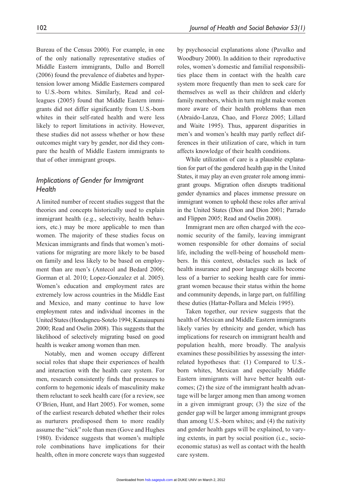Bureau of the Census 2000). For example, in one of the only nationally representative studies of Middle Eastern immigrants, Dallo and Borrell (2006) found the prevalence of diabetes and hypertension lower among Middle Easterners compared to U.S.-born whites. Similarly, Read and colleagues (2005) found that Middle Eastern immigrants did not differ significantly from U.S.-born whites in their self-rated health and were less likely to report limitations in activity. However, these studies did not assess whether or how these outcomes might vary by gender, nor did they compare the health of Middle Eastern immigrants to that of other immigrant groups.

#### *Implications of Gender for Immigrant Health*

A limited number of recent studies suggest that the theories and concepts historically used to explain immigrant health (e.g., selectivity, health behaviors, etc.) may be more applicable to men than women. The majority of these studies focus on Mexican immigrants and finds that women's motivations for migrating are more likely to be based on family and less likely to be based on employment than are men's (Antecol and Bedard 2006; Gorman et al. 2010; Lopez-Gonzalez et al. 2005). Women's education and employment rates are extremely low across countries in the Middle East and Mexico, and many continue to have low employment rates and individual incomes in the United States (Hondagneu-Sotelo 1994; Kanaiaupuni 2000; Read and Oselin 2008). This suggests that the likelihood of selectively migrating based on good health is weaker among women than men.

Notably, men and women occupy different social roles that shape their experiences of health and interaction with the health care system. For men, research consistently finds that pressures to conform to hegemonic ideals of masculinity make them reluctant to seek health care (for a review, see O'Brien, Hunt, and Hart 2005). For women, some of the earliest research debated whether their roles as nurturers predisposed them to more readily assume the "sick" role than men (Gove and Hughes 1980). Evidence suggests that women's multiple role combinations have implications for their health, often in more concrete ways than suggested by psychosocial explanations alone (Pavalko and Woodbury 2000). In addition to their reproductive roles, women's domestic and familial responsibilities place them in contact with the health care system more frequently than men to seek care for themselves as well as their children and elderly family members, which in turn might make women more aware of their health problems than men (Abraido-Lanza, Chao, and Florez 2005; Lillard and Waite 1995). Thus, apparent disparities in men's and women's health may partly reflect differences in their utilization of care, which in turn affects knowledge of their health conditions.

While utilization of care is a plausible explanation for part of the gendered health gap in the United States, it may play an even greater role among immigrant groups. Migration often disrupts traditional gender dynamics and places immense pressure on immigrant women to uphold these roles after arrival in the United States (Dion and Dion 2001; Parrado and Flippen 2005; Read and Oselin 2008).

Immigrant men are often charged with the economic security of the family, leaving immigrant women responsible for other domains of social life, including the well-being of household members. In this context, obstacles such as lack of health insurance and poor language skills become less of a barrier to seeking health care for immigrant women because their status within the home and community depends, in large part, on fulfilling these duties (Hattar-Pollara and Meleis 1995).

Taken together, our review suggests that the health of Mexican and Middle Eastern immigrants likely varies by ethnicity and gender, which has implications for research on immigrant health and population health, more broadly. The analysis examines these possibilities by assessing the interrelated hypotheses that: (1) Compared to U.S. born whites, Mexican and especially Middle Eastern immigrants will have better health outcomes; (2) the size of the immigrant health advantage will be larger among men than among women in a given immigrant group; (3) the size of the gender gap will be larger among immigrant groups than among U.S.-born whites; and (4) the nativity and gender health gaps will be explained, to varying extents, in part by social position (i.e., socioeconomic status) as well as contact with the health care system.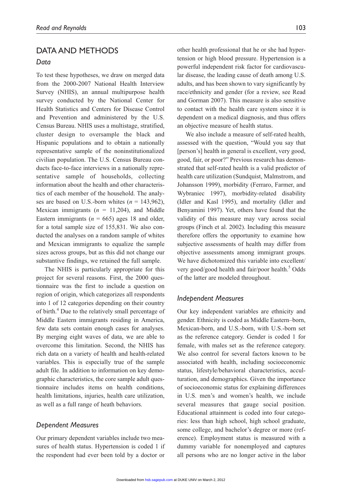#### DATA AND METHODS

#### *Data*

To test these hypotheses, we draw on merged data from the 2000-2007 National Health Interview Survey (NHIS), an annual multipurpose health survey conducted by the National Center for Health Statistics and Centers for Disease Control and Prevention and administered by the U.S. Census Bureau. NHIS uses a multistage, stratified, cluster design to oversample the black and Hispanic populations and to obtain a nationally representative sample of the noninstitutionalized civilian population. The U.S. Census Bureau conducts face-to-face interviews in a nationally representative sample of households, collecting information about the health and other characteristics of each member of the household. The analyses are based on U.S.-born whites  $(n = 143,962)$ , Mexican immigrants  $(n = 11,204)$ , and Middle Eastern immigrants ( $n = 665$ ) ages 18 and older, for a total sample size of 155,831. We also conducted the analyses on a random sample of whites and Mexican immigrants to equalize the sample sizes across groups, but as this did not change our substantive findings, we retained the full sample.

The NHIS is particularly appropriate for this project for several reasons. First, the 2000 questionnaire was the first to include a question on region of origin, which categorizes all respondents into 1 of 12 categories depending on their country of birth.<sup>4</sup> Due to the relatively small percentage of Middle Eastern immigrants residing in America, few data sets contain enough cases for analyses. By merging eight waves of data, we are able to overcome this limitation. Second, the NHIS has rich data on a variety of health and health-related variables. This is especially true of the sample adult file. In addition to information on key demographic characteristics, the core sample adult questionnaire includes items on health conditions, health limitations, injuries, health care utilization, as well as a full range of heath behaviors.

#### *Dependent Measures*

Our primary dependent variables include two measures of health status. Hypertension is coded 1 if the respondent had ever been told by a doctor or

other health professional that he or she had hypertension or high blood pressure. Hypertension is a powerful independent risk factor for cardiovascular disease, the leading cause of death among U.S. adults, and has been shown to vary significantly by race/ethnicity and gender (for a review, see Read and Gorman 2007). This measure is also sensitive to contact with the health care system since it is dependent on a medical diagnosis, and thus offers an objective measure of health status.

We also include a measure of self-rated health, assessed with the question, "Would you say that [person's] health in general is excellent, very good, good, fair, or poor?" Previous research has demonstrated that self-rated health is a valid predictor of health care utilization (Sundquist, Malmstrom, and Johansson 1999), morbidity (Ferraro, Farmer, and Wybraniec 1997), morbidity-related disability (Idler and Kasl 1995), and mortality (Idler and Benyamini 1997). Yet, others have found that the validity of this measure may vary across social groups (Finch et al. 2002). Including this measure therefore offers the opportunity to examine how subjective assessments of health may differ from objective assessments among immigrant groups. We have dichotomized this variable into excellent/ very good/good health and fair/poor health.<sup>5</sup> Odds of the latter are modeled throughout.

#### *Independent Measures*

Our key independent variables are ethnicity and gender. Ethnicity is coded as Middle Eastern–born, Mexican-born, and U.S.-born, with U.S.-born set as the reference category. Gender is coded 1 for female, with males set as the reference category. We also control for several factors known to be associated with health, including socioeconomic status, lifestyle/behavioral characteristics, acculturation, and demographics. Given the importance of socioeconomic status for explaining differences in U.S. men's and women's health, we include several measures that gauge social position. Educational attainment is coded into four categories: less than high school, high school graduate, some college, and bachelor's degree or more (reference). Employment status is measured with a dummy variable for nonemployed and captures all persons who are no longer active in the labor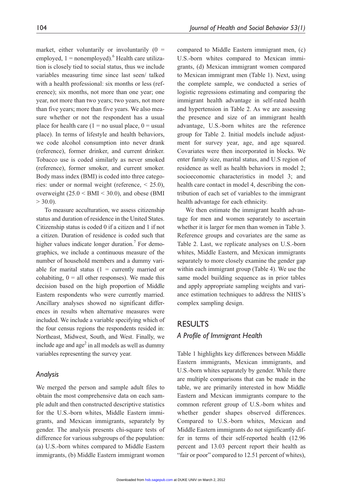market, either voluntarily or involuntarily  $(0 =$ employed,  $1 =$  nonemployed).<sup>6</sup> Health care utilization is closely tied to social status, thus we include variables measuring time since last seen/ talked with a health professional: six months or less (reference); six months, not more than one year; one year, not more than two years; two years, not more than five years; more than five years. We also measure whether or not the respondent has a usual place for health care  $(1 = no$  usual place,  $0 = usual$ place). In terms of lifestyle and health behaviors, we code alcohol consumption into never drank (reference), former drinker, and current drinker. Tobacco use is coded similarly as never smoked (reference), former smoker, and current smoker. Body mass index (BMI) is coded into three categories: under or normal weight (reference, < 25.0), overweight  $(25.0 \leq BMI \leq 30.0)$ , and obese (BMI  $>$  30.0).

To measure acculturation, we assess citizenship status and duration of residence in the United States. Citizenship status is coded 0 if a citizen and 1 if not a citizen. Duration of residence is coded such that higher values indicate longer duration.<sup>7</sup> For demographics, we include a continuous measure of the number of household members and a dummy variable for marital status  $(1 =$  currently married or cohabiting,  $0 =$  all other responses). We made this decision based on the high proportion of Middle Eastern respondents who were currently married. Ancillary analyses showed no significant differences in results when alternative measures were included. We include a variable specifying which of the four census regions the respondents resided in: Northeast, Midwest, South, and West. Finally, we include age and  $age<sup>2</sup>$  in all models as well as dummy variables representing the survey year.

#### *Analysis*

We merged the person and sample adult files to obtain the most comprehensive data on each sample adult and then constructed descriptive statistics for the U.S.-born whites, Middle Eastern immigrants, and Mexican immigrants, separately by gender. The analysis presents chi-square tests of difference for various subgroups of the population: (a) U.S.-born whites compared to Middle Eastern immigrants, (b) Middle Eastern immigrant women

compared to Middle Eastern immigrant men, (c) U.S.-born whites compared to Mexican immigrants, (d) Mexican immigrant women compared to Mexican immigrant men (Table 1). Next, using the complete sample, we conducted a series of logistic regressions estimating and comparing the immigrant health advantage in self-rated health and hypertension in Table 2. As we are assessing the presence and size of an immigrant health advantage, U.S.-born whites are the reference group for Table 2. Initial models include adjustment for survey year, age, and age squared. Covariates were then incorporated in blocks. We enter family size, marital status, and U.S region of residence as well as health behaviors in model 2; socioeconomic characteristics in model 3; and health care contact in model 4, describing the contribution of each set of variables to the immigrant health advantage for each ethnicity.

We then estimate the immigrant health advantage for men and women separately to ascertain whether it is larger for men than women in Table 3. Reference groups and covariates are the same as Table 2. Last, we replicate analyses on U.S.-born whites, Middle Eastern, and Mexican immigrants separately to more closely examine the gender gap within each immigrant group (Table 4). We use the same model building sequence as in prior tables and apply appropriate sampling weights and variance estimation techniques to address the NHIS's complex sampling design.

#### **RESULTS**

#### *A Profile of Immigrant Health*

Table 1 highlights key differences between Middle Eastern immigrants, Mexican immigrants, and U.S.-born whites separately by gender. While there are multiple comparisons that can be made in the table, we are primarily interested in how Middle Eastern and Mexican immigrants compare to the common referent group of U.S.-born whites and whether gender shapes observed differences. Compared to U.S.-born whites, Mexican and Middle Eastern immigrants do not significantly differ in terms of their self-reported health (12.96 percent and 13.03 percent report their health as "fair or poor" compared to 12.51 percent of whites),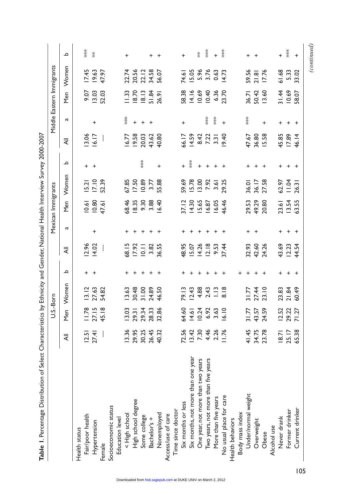| l<br>ׇ֚֘<br>֕    |
|------------------|
|                  |
| ֕                |
|                  |
|                  |
| Ì<br>Ï           |
| l                |
| ֘֒<br>l<br>١     |
|                  |
| Ì<br>ĺ<br>Í      |
|                  |
|                  |
| ֕                |
| l<br>l<br>l<br>I |
| 9<br>t<br>۱      |

|                                        |                                           | U.S.-Born                                                |                                        |                |                                                     |           | Mexican Immigrants                                     |                                  |           |                          |           | Middle Eastern Immigrants                           |                                     |             |
|----------------------------------------|-------------------------------------------|----------------------------------------------------------|----------------------------------------|----------------|-----------------------------------------------------|-----------|--------------------------------------------------------|----------------------------------|-----------|--------------------------|-----------|-----------------------------------------------------|-------------------------------------|-------------|
|                                        | ₹                                         | Men                                                      | Women                                  | م              | ₹                                                   | 4         | Men                                                    | Women                            | م         | ₹                        | <b>G</b>  | Men                                                 | Women                               | م           |
| Health status                          |                                           |                                                          |                                        |                |                                                     |           |                                                        |                                  |           |                          |           |                                                     |                                     |             |
| Fair/poor health                       |                                           |                                                          |                                        | +              |                                                     |           |                                                        |                                  | +         |                          |           |                                                     |                                     | 菱           |
| Hypertension                           | $\frac{12.51}{27.41}$                     | $\frac{11.78}{27.13}$                                    | $\frac{13.12}{27.63}$                  | $\overline{+}$ | $12.96$<br>$14.02$                                  | +         | $\begin{array}{c} 10.61 \\ 10.80 \\ 47.61 \end{array}$ | 15.21<br>17.10<br>52.39          | $\ddot{}$ | 13.06<br>16.17           | +         | 9.07<br>13.03<br>52.03                              | 17.45<br>19.63<br>47.97             | ≸           |
| Female                                 |                                           |                                                          |                                        |                | $\overline{\phantom{a}}$                            |           |                                                        |                                  |           | $\overline{\phantom{a}}$ |           |                                                     |                                     |             |
| Socioeconomic status                   |                                           |                                                          |                                        |                |                                                     |           |                                                        |                                  |           |                          |           |                                                     |                                     |             |
| Education level                        |                                           |                                                          |                                        |                |                                                     |           |                                                        |                                  |           |                          |           |                                                     |                                     |             |
|                                        |                                           |                                                          |                                        |                |                                                     | +         |                                                        |                                  |           |                          | 菱         |                                                     |                                     | +           |
| < High school<br>High school degree    |                                           |                                                          |                                        |                |                                                     | +         | 846<br>18.35<br>9.30                                   |                                  |           |                          | $\ddot{}$ |                                                     |                                     |             |
| Some college                           | 13.36<br>29.55<br>28.45<br>40.32          | $\begin{array}{c} 13.03 \\ 29.31 \\ 29.34 \end{array}$   | $\frac{13.63}{30.48}$                  | +              | $36.15$<br>$15.92$<br>$12.81$<br>$15.53$<br>$15.55$ | +         |                                                        | 67.85<br>17.50<br>10.87<br>55.88 | 菱         | 16.77<br>19.58<br>20.03  | $\ddot{}$ | $11.33$<br>$18.70$<br>$18.13$<br>$51.84$<br>$51.84$ | 22.74<br>20.56<br>22.12             |             |
| Bachelor's +                           |                                           | 28.33<br>32.86                                           | 24.89                                  | $\ddot{}$      |                                                     | $\ddot{}$ | 3.88                                                   |                                  |           | 43.62                    | $+$       |                                                     | 34.58<br>56.07                      | $\ddot{}$   |
| Nonemployed                            |                                           |                                                          | 46.50                                  | $^{+}$         |                                                     | $\ddot{}$ | 16.40                                                  |                                  | $\ddot{}$ | 40.80                    |           |                                                     |                                     | $\ddot{}$   |
| Access/use of care                     |                                           |                                                          |                                        |                |                                                     |           |                                                        |                                  |           |                          |           |                                                     |                                     |             |
| Time since doctor                      |                                           |                                                          |                                        |                |                                                     |           |                                                        |                                  |           |                          |           |                                                     |                                     |             |
| Six months or less                     |                                           |                                                          |                                        | +              |                                                     | +         |                                                        |                                  | $\ddot{}$ |                          | $\ddot{}$ |                                                     |                                     | $\ddot{}$   |
| Six months, not more than one year     |                                           |                                                          | 79.13<br>12.43                         | +              | 48.95<br>IS.07                                      | +         | 37.12<br>14.30<br>15.65                                | 59.69<br>IS.78<br>I3.00          | 萎         | 66.17<br>14.59           |           | 58.38<br>14.16<br>10.69                             |                                     |             |
| One year, not more than two years      |                                           |                                                          |                                        | +              | 14.26                                               | +         |                                                        |                                  | $\ddot{}$ |                          |           |                                                     |                                     | ≸           |
| Two years, not more than five years    | 72.56<br>13.42<br>13.44<br>17.76<br>11.76 | $4.50$<br>$4.51$<br>$6.74$<br>$6.50$<br>$6.10$<br>$6.10$ | $4.38$<br>$7.19$<br>$-8.18$<br>$-8.18$ | $\ddot{}$      | $12.18$<br>9.53<br>37.44                            | +         | 16.87                                                  | 7.92<br>3.61<br>29.25            | $+$       | 842<br>723<br>19.40      | 菱         |                                                     | $74.61$<br>15.05<br>15.063<br>14.73 | 菱           |
| More than five years                   |                                           |                                                          |                                        | $+$            |                                                     | +         | 16.05<br>46.46                                         |                                  | $+$       |                          | 菱         | $10.40$<br>6.36<br>23.70                            |                                     | $\ddot{}$   |
| No usual place for care                |                                           |                                                          |                                        | $\overline{1}$ |                                                     | $\ddot{}$ |                                                        |                                  | $\ddot{}$ |                          | $\ddot{}$ |                                                     |                                     | 蒵           |
| Health behaviors                       |                                           |                                                          |                                        |                |                                                     |           |                                                        |                                  |           |                          |           |                                                     |                                     |             |
|                                        |                                           |                                                          |                                        | +              |                                                     |           |                                                        |                                  |           |                          |           |                                                     |                                     |             |
| Body mass index<br>Under/normal weight |                                           |                                                          |                                        | +              |                                                     | +         |                                                        |                                  | +         |                          | 菱         |                                                     |                                     | +           |
| Overweight                             | 41.45<br>34.75<br>23.78                   | 31.77<br>43.57                                           | 31.77<br>27.44<br>23.10                | +              | 32.93<br>42.60<br>24.26                             | $\ddot{}$ | 29.53<br>49.29                                         | 36.01<br>36.17<br>27.58          | +         |                          |           |                                                     |                                     |             |
| Obese                                  |                                           | 24.59                                                    |                                        |                |                                                     |           | 20.80                                                  |                                  | $\ddot{}$ | 47.67<br>36.80<br>15.58  | $\ddot{}$ | 36.71<br>50.42<br>13.60                             | 59.56<br>21.81<br>17.76             |             |
| Alcohol use<br>Never drank             |                                           |                                                          |                                        |                |                                                     |           |                                                        |                                  |           |                          |           |                                                     |                                     |             |
|                                        |                                           | 12.52                                                    |                                        | +              |                                                     | +         |                                                        |                                  | +         |                          | +         |                                                     |                                     | $\ddot{}$   |
| Former drinker                         | $\frac{18.71}{25.17}$                     | 29.22<br>71.27                                           | 23.83<br>21.84<br>60.49                | $\ddot{}$      | 43.69<br>12.23<br>44.54                             | $\ddot{}$ | 23.61<br>13.54<br>63.55                                | 62.97<br>  1.04<br>26.3          | +         | 45.85<br>17.89<br>46.14  | $\ddot{}$ | 31.44<br>10.69<br>58.07                             | 61.68<br>5.33<br>33.02              | 菱           |
| Current drinker                        |                                           |                                                          |                                        | $+$            |                                                     | $^{+}$    |                                                        |                                  | $\ddot{}$ |                          | $\ddot{}$ |                                                     |                                     | $\ddot{}$   |
|                                        |                                           |                                                          |                                        |                |                                                     |           |                                                        |                                  |           |                          |           |                                                     |                                     | (continued) |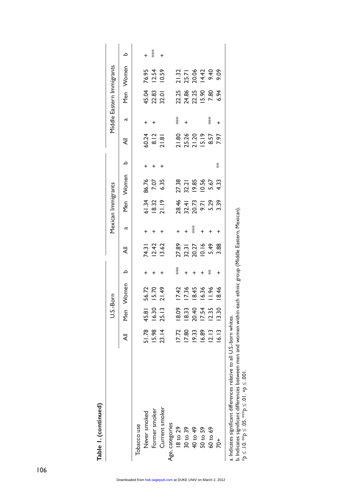Table 1. (continued) **Table 1. (continued)**

|                                                    |                                                                | U.S.-Born                                                                                                                                                                                                                                                                                                     |                                                                                                  |   |                                          |   | Mexican Immigrants                      |                                           |                          |                                                       |    |                                         | Middle Eastern Immigrants               |              |
|----------------------------------------------------|----------------------------------------------------------------|---------------------------------------------------------------------------------------------------------------------------------------------------------------------------------------------------------------------------------------------------------------------------------------------------------------|--------------------------------------------------------------------------------------------------|---|------------------------------------------|---|-----------------------------------------|-------------------------------------------|--------------------------|-------------------------------------------------------|----|-----------------------------------------|-----------------------------------------|--------------|
|                                                    | ₹                                                              |                                                                                                                                                                                                                                                                                                               | Men Women                                                                                        | م | ₹                                        | 4 |                                         | Men Women                                 | $\overline{\phantom{0}}$ | ₹                                                     | a  |                                         | Men Women                               | $\mathbf{a}$ |
| Tobacco use                                        |                                                                |                                                                                                                                                                                                                                                                                                               |                                                                                                  |   |                                          |   |                                         |                                           |                          |                                                       |    |                                         |                                         |              |
| Never smoked                                       |                                                                |                                                                                                                                                                                                                                                                                                               |                                                                                                  |   |                                          |   |                                         |                                           |                          |                                                       |    |                                         |                                         |              |
| Former smoker                                      |                                                                | 45.81<br>16.30<br>25.13                                                                                                                                                                                                                                                                                       |                                                                                                  |   | 74.31<br>12.42<br>13.62                  |   |                                         | 86.76<br>7.07<br>6.35                     |                          |                                                       |    |                                         |                                         | 荽            |
| Current smoker                                     | 51.78<br>15.98<br>23.14                                        |                                                                                                                                                                                                                                                                                                               | 56.72<br>15.70<br>21.49                                                                          |   |                                          |   | 61.34<br>18.32<br>21.19                 |                                           |                          | $\begin{array}{c} 50.24 \\ 8.12 \\ 21.81 \end{array}$ |    | 45.04<br>22.83<br>32.01                 | 76.95<br>12.54<br>10.59                 |              |
| Age, categories                                    |                                                                |                                                                                                                                                                                                                                                                                                               |                                                                                                  |   |                                          |   |                                         |                                           |                          |                                                       |    |                                         |                                         |              |
| 8 to 29                                            |                                                                |                                                                                                                                                                                                                                                                                                               |                                                                                                  | 菱 |                                          |   |                                         |                                           |                          |                                                       | 萋  |                                         |                                         |              |
| 30 to 39                                           |                                                                |                                                                                                                                                                                                                                                                                                               |                                                                                                  |   |                                          |   |                                         |                                           |                          |                                                       |    |                                         |                                         |              |
| 40 to 49                                           |                                                                |                                                                                                                                                                                                                                                                                                               |                                                                                                  |   |                                          | 菱 |                                         |                                           |                          |                                                       |    |                                         |                                         |              |
| 50 to 59                                           | $17.72$<br>$17.80$<br>$19.33$<br>$10.13$<br>$10.13$<br>$10.13$ | $\begin{array}{c} 8.09 \\ 8.31 \\ 2.04 \\ 2.54 \\ 1.31 \\ 2.54 \\ 1.31 \\ 2.30 \\ 1.31 \\ 1.31 \\ 1.32 \\ 1.33 \\ 1.33 \\ 1.33 \\ 1.33 \\ 1.33 \\ 1.33 \\ 1.33 \\ 1.33 \\ 1.33 \\ 1.33 \\ 1.33 \\ 1.33 \\ 1.33 \\ 1.33 \\ 1.33 \\ 1.33 \\ 1.33 \\ 1.33 \\ 1.33 \\ 1.33 \\ 1.33 \\ 1.33 \\ 1.33 \\ 1.33 \\ 1.$ | $1.36$<br>$1.36$<br>$1.36$<br>$1.36$<br>$1.36$<br>$1.36$<br>$1.36$<br>$1.36$<br>$1.36$<br>$1.36$ |   | 27.89<br>22.31<br>20.14<br>10.14<br>3.88 |   | 28.46<br>32.41<br>20.71<br>5.29<br>5.39 | 27.38<br>32.21<br>10.56<br>10.567<br>4.33 |                          | 21.80<br>25.26<br>21.20<br>8.57<br>8.57<br>7.97       |    | 22.25<br>24.86<br>22.25<br>5.94<br>6.94 | 21.32<br>25.71<br>20.44<br>9.09<br>9.09 |              |
| $60$ to $69$                                       |                                                                |                                                                                                                                                                                                                                                                                                               |                                                                                                  | 菜 |                                          |   |                                         |                                           |                          |                                                       | 菱菜 |                                         |                                         |              |
| $\frac{1}{2}$                                      |                                                                |                                                                                                                                                                                                                                                                                                               |                                                                                                  |   |                                          |   |                                         |                                           | 菜                        |                                                       |    |                                         |                                         |              |
| a. Indicates significant differences relative to a | S.-born whites                                                 |                                                                                                                                                                                                                                                                                                               |                                                                                                  |   |                                          |   |                                         |                                           |                          |                                                       |    |                                         |                                         |              |

a. Indicates significant differences relative to all U.S.-born whites.

a. Indicates significant differences relative to all U.S.-Dorn Whites.<br>b. Indicates significant differences between men and women within each ethnic group (Middle Eastern, Mexican).<br>\*p ≤ .10. \*\*p ≤ .05. \*\*\*p ≤ .01. +p ≤ . b. Indicates significant differences between men and women within each ethnic group (Middle Eastern, Mexican).

\**p* ≤ .10. \*\**p* ≤ .05. \*\*\**p* ≤ .01. +*p* ≤ .001.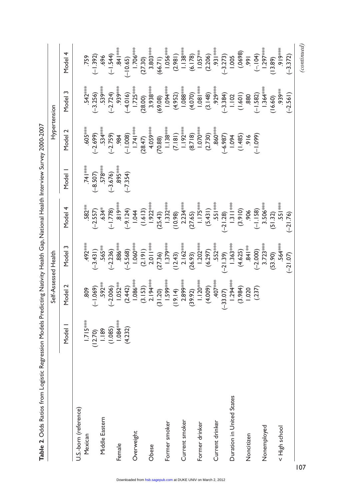| .<br>הההה ההה<br>)<br>227 |
|---------------------------|
|                           |
| $\ddot{\phantom{a}}$      |
| $\ddot{\phantom{0}}$      |
| j                         |
|                           |
| ı                         |
|                           |
| $\vdots$                  |
| )<br>)<br>)<br>Table 2. O |
|                           |

|                           |                                                                                    | Self-Assessed Health                                                                                                                                                                                                                                                                       |                                                                                                                                                                                                                                                      |                                                                                                                                                                                                                                |                                                                                   | Hypertension |                                                                                                                                                                                                                                                                                                                                                                                                       |                                                                                                                                                                                                                                 |
|---------------------------|------------------------------------------------------------------------------------|--------------------------------------------------------------------------------------------------------------------------------------------------------------------------------------------------------------------------------------------------------------------------------------------|------------------------------------------------------------------------------------------------------------------------------------------------------------------------------------------------------------------------------------------------------|--------------------------------------------------------------------------------------------------------------------------------------------------------------------------------------------------------------------------------|-----------------------------------------------------------------------------------|--------------|-------------------------------------------------------------------------------------------------------------------------------------------------------------------------------------------------------------------------------------------------------------------------------------------------------------------------------------------------------------------------------------------------------|---------------------------------------------------------------------------------------------------------------------------------------------------------------------------------------------------------------------------------|
|                           | Model I                                                                            | Model 2                                                                                                                                                                                                                                                                                    | Model 3                                                                                                                                                                                                                                              | Model 4                                                                                                                                                                                                                        | Model I                                                                           | Model 2      | Model 3                                                                                                                                                                                                                                                                                                                                                                                               | Model 4                                                                                                                                                                                                                         |
| J.S.-born (reference)     |                                                                                    |                                                                                                                                                                                                                                                                                            |                                                                                                                                                                                                                                                      |                                                                                                                                                                                                                                |                                                                                   |              |                                                                                                                                                                                                                                                                                                                                                                                                       |                                                                                                                                                                                                                                 |
| Mexican                   |                                                                                    |                                                                                                                                                                                                                                                                                            |                                                                                                                                                                                                                                                      |                                                                                                                                                                                                                                |                                                                                   |              |                                                                                                                                                                                                                                                                                                                                                                                                       |                                                                                                                                                                                                                                 |
|                           |                                                                                    |                                                                                                                                                                                                                                                                                            |                                                                                                                                                                                                                                                      |                                                                                                                                                                                                                                |                                                                                   |              |                                                                                                                                                                                                                                                                                                                                                                                                       |                                                                                                                                                                                                                                 |
| Middle Eastern            |                                                                                    |                                                                                                                                                                                                                                                                                            |                                                                                                                                                                                                                                                      |                                                                                                                                                                                                                                |                                                                                   |              |                                                                                                                                                                                                                                                                                                                                                                                                       |                                                                                                                                                                                                                                 |
|                           | $1.715***$<br>( $12.70)$<br>( $1.189$<br>( $1.085$ )<br>( $1.034***$<br>( $4.232)$ | 809<br>$(-1.069)$<br>$(-3.006)$<br>$(-2.006)$<br>$(-3.153)$<br>$(-3.153)$<br>$(-3.153)$<br>$(-3.153)$<br>$(-3.153)$<br>$(-3.153)$<br>$(-3.153)$<br>$(-3.153)$<br>$(-3.153)$<br>$(-3.153)$<br>$(-3.153)$<br>$(-3.153)$<br>$(-3.153)$<br>$(-3.153)$<br>$(-3.153)$<br>$(-3.153)$<br>$(-3.153$ | $(492**\n%24*341)$ $(-3.431)$ $(-3.431)$ $(-3.430)$ $(-5.568)$ $(-5.568)$ $(-5.568)$ $(-5.568)$ $(-5.568)$ $(-5.568)$ $(-5.568)$ $(-5.568)$ $(-5.568)$ $(-5.568)$ $(-5.568)$ $(-5.568)$ $(-5.568)$ $(-5.568)$ $(-5.568)$ $(-5.568)$ $(-5.568)$ $(-5$ | $582**$ $-2.557$ $-3.44$ $-1.778$ $-1.579$ $-1.634$ $-1.613$ $-1.613$ $-1.613$ $-1.613$ $-1.613$ $-1.613$ $-1.613$ $-1.613$ $-1.613$ $-1.613$ $-1.613$ $-1.613$ $-1.613$ $-1.613$ $-1.613$ $-1.613$ $-1.613$ $-1.613$ $-1.613$ | $(-8.507)$<br>$-3.676$<br>$-3.676$<br>$-3.676$<br>$-3.676$<br>$-3.676$<br>$-3.55$ |              | $\begin{array}{r} .542^{***} \\ .542^{***} \\ .539^{***} \\ .539^{***} \\ .539^{***} \\ .539^{***} \\ .539^{***} \\ .539^{***} \\ .539^{***} \\ .539^{***} \\ .539^{***} \\ .539^{***} \\ .539^{***} \\ .539^{***} \\ .539^{***} \\ .539^{***} \\ .539^{***} \\ .539^{***} \\ .539^{***} \\ .539^{***} \\ .539^{***} \\ .539^{***} \\ .539^{***} \\ .539^{***} \\ .539^{***} \\ .539^{***} \\ .539^{$ | $759$ $(-1.392)$ $-1.544$ $-1.544$ $-1.065$ $-1.063$ $-1.063$ $-1.063$ $-1.063$ $-1.063$ $-1.063$ $-1.064$ $-1.064$ $-1.064$ $-1.064$ $-1.064$ $-1.064$ $-1.064$ $-1.064$ $-1.064$ $-1.064$ $-1.064$ $-1.064$ $-1.064$ $-1.064$ |
| Female                    |                                                                                    |                                                                                                                                                                                                                                                                                            |                                                                                                                                                                                                                                                      |                                                                                                                                                                                                                                |                                                                                   |              |                                                                                                                                                                                                                                                                                                                                                                                                       |                                                                                                                                                                                                                                 |
|                           |                                                                                    |                                                                                                                                                                                                                                                                                            |                                                                                                                                                                                                                                                      |                                                                                                                                                                                                                                |                                                                                   |              |                                                                                                                                                                                                                                                                                                                                                                                                       |                                                                                                                                                                                                                                 |
| Overweight                |                                                                                    |                                                                                                                                                                                                                                                                                            |                                                                                                                                                                                                                                                      |                                                                                                                                                                                                                                |                                                                                   |              |                                                                                                                                                                                                                                                                                                                                                                                                       |                                                                                                                                                                                                                                 |
|                           |                                                                                    |                                                                                                                                                                                                                                                                                            |                                                                                                                                                                                                                                                      |                                                                                                                                                                                                                                |                                                                                   |              |                                                                                                                                                                                                                                                                                                                                                                                                       |                                                                                                                                                                                                                                 |
| Obese                     |                                                                                    |                                                                                                                                                                                                                                                                                            |                                                                                                                                                                                                                                                      |                                                                                                                                                                                                                                |                                                                                   |              |                                                                                                                                                                                                                                                                                                                                                                                                       |                                                                                                                                                                                                                                 |
|                           |                                                                                    |                                                                                                                                                                                                                                                                                            |                                                                                                                                                                                                                                                      |                                                                                                                                                                                                                                |                                                                                   |              |                                                                                                                                                                                                                                                                                                                                                                                                       |                                                                                                                                                                                                                                 |
| Former smoker             |                                                                                    |                                                                                                                                                                                                                                                                                            |                                                                                                                                                                                                                                                      |                                                                                                                                                                                                                                |                                                                                   |              |                                                                                                                                                                                                                                                                                                                                                                                                       |                                                                                                                                                                                                                                 |
|                           |                                                                                    |                                                                                                                                                                                                                                                                                            |                                                                                                                                                                                                                                                      |                                                                                                                                                                                                                                |                                                                                   |              |                                                                                                                                                                                                                                                                                                                                                                                                       |                                                                                                                                                                                                                                 |
| Current smoker            |                                                                                    |                                                                                                                                                                                                                                                                                            |                                                                                                                                                                                                                                                      |                                                                                                                                                                                                                                |                                                                                   |              |                                                                                                                                                                                                                                                                                                                                                                                                       |                                                                                                                                                                                                                                 |
|                           |                                                                                    |                                                                                                                                                                                                                                                                                            |                                                                                                                                                                                                                                                      |                                                                                                                                                                                                                                |                                                                                   |              |                                                                                                                                                                                                                                                                                                                                                                                                       |                                                                                                                                                                                                                                 |
| Former drinker            |                                                                                    |                                                                                                                                                                                                                                                                                            |                                                                                                                                                                                                                                                      |                                                                                                                                                                                                                                |                                                                                   |              |                                                                                                                                                                                                                                                                                                                                                                                                       |                                                                                                                                                                                                                                 |
|                           |                                                                                    |                                                                                                                                                                                                                                                                                            |                                                                                                                                                                                                                                                      |                                                                                                                                                                                                                                |                                                                                   |              |                                                                                                                                                                                                                                                                                                                                                                                                       |                                                                                                                                                                                                                                 |
| Current drinker           |                                                                                    |                                                                                                                                                                                                                                                                                            |                                                                                                                                                                                                                                                      |                                                                                                                                                                                                                                |                                                                                   |              |                                                                                                                                                                                                                                                                                                                                                                                                       |                                                                                                                                                                                                                                 |
|                           |                                                                                    |                                                                                                                                                                                                                                                                                            |                                                                                                                                                                                                                                                      |                                                                                                                                                                                                                                |                                                                                   |              |                                                                                                                                                                                                                                                                                                                                                                                                       |                                                                                                                                                                                                                                 |
| Duration in United States |                                                                                    |                                                                                                                                                                                                                                                                                            |                                                                                                                                                                                                                                                      |                                                                                                                                                                                                                                |                                                                                   |              |                                                                                                                                                                                                                                                                                                                                                                                                       |                                                                                                                                                                                                                                 |
|                           |                                                                                    |                                                                                                                                                                                                                                                                                            |                                                                                                                                                                                                                                                      |                                                                                                                                                                                                                                |                                                                                   |              |                                                                                                                                                                                                                                                                                                                                                                                                       |                                                                                                                                                                                                                                 |
| Noncitizen                |                                                                                    |                                                                                                                                                                                                                                                                                            |                                                                                                                                                                                                                                                      |                                                                                                                                                                                                                                |                                                                                   |              |                                                                                                                                                                                                                                                                                                                                                                                                       |                                                                                                                                                                                                                                 |
|                           |                                                                                    |                                                                                                                                                                                                                                                                                            |                                                                                                                                                                                                                                                      |                                                                                                                                                                                                                                |                                                                                   |              |                                                                                                                                                                                                                                                                                                                                                                                                       |                                                                                                                                                                                                                                 |
| Nonemployed               |                                                                                    |                                                                                                                                                                                                                                                                                            |                                                                                                                                                                                                                                                      |                                                                                                                                                                                                                                |                                                                                   |              |                                                                                                                                                                                                                                                                                                                                                                                                       |                                                                                                                                                                                                                                 |
|                           |                                                                                    |                                                                                                                                                                                                                                                                                            |                                                                                                                                                                                                                                                      |                                                                                                                                                                                                                                |                                                                                   |              |                                                                                                                                                                                                                                                                                                                                                                                                       |                                                                                                                                                                                                                                 |
| < High school             |                                                                                    |                                                                                                                                                                                                                                                                                            |                                                                                                                                                                                                                                                      |                                                                                                                                                                                                                                |                                                                                   |              |                                                                                                                                                                                                                                                                                                                                                                                                       |                                                                                                                                                                                                                                 |
|                           |                                                                                    |                                                                                                                                                                                                                                                                                            | $(-21.07)$                                                                                                                                                                                                                                           | $(-21.76)$                                                                                                                                                                                                                     |                                                                                   |              | $(-2.561)$                                                                                                                                                                                                                                                                                                                                                                                            | $(-3.372)$                                                                                                                                                                                                                      |

*(continued)*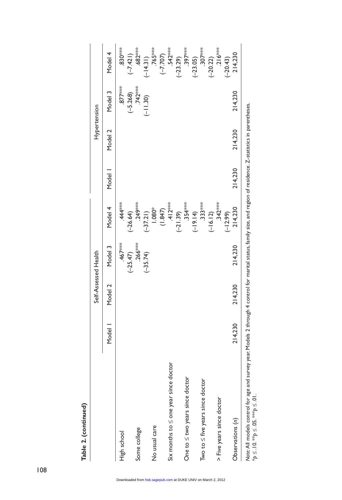|                                                                                                                                                                                                                                                       |         |         | Self-Assessed Health    |                       |         | Hypertension |                         |                         |
|-------------------------------------------------------------------------------------------------------------------------------------------------------------------------------------------------------------------------------------------------------|---------|---------|-------------------------|-----------------------|---------|--------------|-------------------------|-------------------------|
|                                                                                                                                                                                                                                                       | Model   | Model 2 | Model 3                 | Model 4               | Model   | Model 2      | Model 3                 | Model 4                 |
| High school                                                                                                                                                                                                                                           |         |         | $.467***$               | $.444***$             |         |              | $.877***$               | $.830***$               |
| Some college                                                                                                                                                                                                                                          |         |         | $.266***$<br>$(-25.47)$ | $.249***$<br>$-26.64$ |         |              | $.742***$<br>$(-5.268)$ | $.682***$<br>$(-7.421)$ |
|                                                                                                                                                                                                                                                       |         |         | $(-35.74)$              | $(-37.21)$            |         |              | $(-11.30)$              | $(-14.31)$              |
| No usual care                                                                                                                                                                                                                                         |         |         |                         | $1.080*$<br>(1.847)   |         |              |                         | $.765***$<br>$(-7.707)$ |
| Six months to $\leq$ one year since doctor                                                                                                                                                                                                            |         |         |                         | $.412***$             |         |              |                         | $.542***$               |
|                                                                                                                                                                                                                                                       |         |         |                         | $(-21.39)$            |         |              |                         | $(-23.29)$              |
| One to $\leq$ two years since doctor                                                                                                                                                                                                                  |         |         |                         | $.354***$             |         |              |                         | $.397***$               |
|                                                                                                                                                                                                                                                       |         |         |                         | $(-19.14)$            |         |              |                         | $(-23.05)$              |
| Two to $\leq$ five years since doctor                                                                                                                                                                                                                 |         |         |                         | $.33***$              |         |              |                         | $.307***$               |
|                                                                                                                                                                                                                                                       |         |         |                         | $(-16.12)$            |         |              |                         | $(-20.22)$              |
| > Five years since doctor                                                                                                                                                                                                                             |         |         |                         | $.342***$             |         |              |                         | $.216***$               |
|                                                                                                                                                                                                                                                       |         |         |                         | $(-12.99)$            |         |              |                         | $(-20.43)$              |
| Observations (n)                                                                                                                                                                                                                                      | 214,230 | 214,230 | 214,230                 | 214,230               | 214,230 | 214,230      | 214,230                 | 214,230                 |
| Note: All models control for age and survey year. Models 2 through 4 control for marital status, family size, and region of residence. Z-statistics in parentheses.<br>$*_{\text{p}} \leq .10.$ $*_{\text{p}}$ $\leq .05.$ $*_{\text{p}}$ $\leq .01.$ |         |         |                         |                       |         |              |                         |                         |

Table 2. (continued) **Table 2. (continued)**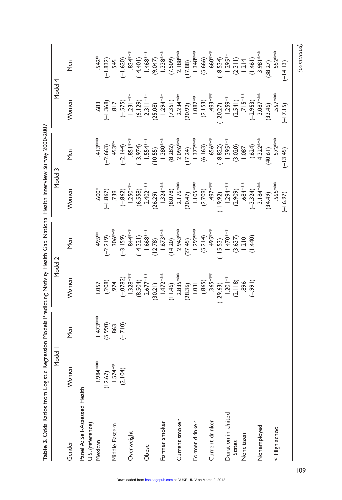| Table 3. Odds Ratios from Logistic Regression Models Predicting Nativity Health Gap, National Health Interview Survey 2000-2007 | Model 1                                     |            | Model 2                                               |                                   | Model 3                                                                       |                                              | Model 4                                                                                                              |                                                  |
|---------------------------------------------------------------------------------------------------------------------------------|---------------------------------------------|------------|-------------------------------------------------------|-----------------------------------|-------------------------------------------------------------------------------|----------------------------------------------|----------------------------------------------------------------------------------------------------------------------|--------------------------------------------------|
| Gender                                                                                                                          | Women                                       | Men        | Women                                                 | Men                               | Women                                                                         | Men                                          | Women                                                                                                                | Men                                              |
| Panel A: Self-Assessed Health                                                                                                   |                                             |            |                                                       |                                   |                                                                               |                                              |                                                                                                                      |                                                  |
| U.S. (reference)                                                                                                                |                                             |            |                                                       |                                   |                                                                               |                                              |                                                                                                                      |                                                  |
| Mexican                                                                                                                         | $1.984***$                                  | $1.473***$ | I.057                                                 |                                   |                                                                               | $413***$                                     | .683                                                                                                                 | $.542*$                                          |
|                                                                                                                                 |                                             | (5.990)    |                                                       | (95)                              | $(-1.867)$                                                                    |                                              | $(-1.368)$                                                                                                           | $(-1.832)$                                       |
| Middle Eastern                                                                                                                  |                                             |            |                                                       |                                   |                                                                               | $(-2.663)$<br>.453**                         |                                                                                                                      | .545                                             |
|                                                                                                                                 | $(12.67)$<br>1.574 <sup>**</sup><br>(2.104) | $(-710)$   | $(208)$<br>$(5870, -1974)$<br>$(-0782)$<br>$(1328***$ | $-306***$<br>$(-3.159)$           | .739<br>(-.862)<br>1.250***                                                   | $(-2.144)$                                   | $\begin{array}{c}\n 817 \\  (-575) \\  1.231*** \n\end{array}$                                                       | $(-1.620)$                                       |
| Overweight                                                                                                                      |                                             |            |                                                       | $844**$                           |                                                                               | $\frac{85}{3}$                               |                                                                                                                      | $.834***$                                        |
|                                                                                                                                 |                                             |            | (8.504)                                               | $(-4.321)$                        |                                                                               | $(-3.974)$                                   | $(6.129)$<br>2.311***                                                                                                | $(-4.401)$                                       |
| Obese                                                                                                                           |                                             |            | $2.677***$                                            | $1.668***$                        | $(6.558)$<br>2.402***                                                         | $1.554***$                                   |                                                                                                                      | $1.468***$                                       |
|                                                                                                                                 |                                             |            | $(30.21)$<br>1.472***                                 | (12.78)                           | (26.29)                                                                       | $(10.55)$<br>1.380***<br>(8.282)<br>2.096*** | $(25.08)$<br>$1.294***$<br>$(7.351)$<br>$(7.351)$<br>$2.234***$<br>$(20.92)$<br>$(0.153)$<br>$(493***$<br>$(-20.27)$ | (9.047)                                          |
| Former smoker                                                                                                                   |                                             |            |                                                       |                                   |                                                                               |                                              |                                                                                                                      |                                                  |
|                                                                                                                                 |                                             |            |                                                       | $1.673***$<br>(14.20)             |                                                                               |                                              |                                                                                                                      | $\frac{1.338}{(7.509)}$<br>(7.509)               |
| Current smoker                                                                                                                  |                                             |            | $(11.46)$<br>2.835***                                 | $2.943***$                        |                                                                               |                                              |                                                                                                                      |                                                  |
|                                                                                                                                 |                                             |            | $(28.36)$<br>$1.031$                                  | (27.45)                           | $1.324***$<br>$(8.078)$<br>$2.176***$<br>$(20.47)$<br>$1.105***$<br>$(2.709)$ | $(17.24)$<br>1.372****<br>(6.163)            |                                                                                                                      | $(17.88)$<br>1.348***                            |
| Former drinker                                                                                                                  |                                             |            |                                                       | $1.292***$                        |                                                                               |                                              |                                                                                                                      |                                                  |
|                                                                                                                                 |                                             |            |                                                       | (5.214)                           |                                                                               |                                              |                                                                                                                      | (5.666)                                          |
| Current drinker                                                                                                                 |                                             |            | $(.865)$<br>.365***                                   | $.495***$                         | <b>497***</b>                                                                 | $.656***$                                    |                                                                                                                      | $.660***$                                        |
|                                                                                                                                 |                                             |            |                                                       | $(-15.53)$                        | $(-19.92)$                                                                    | $\frac{-8.822}{1.395***}$                    |                                                                                                                      |                                                  |
| Duration in United                                                                                                              |                                             |            | $(-29.63)$<br>1.201**                                 | $1.470***$                        | $1.294***$                                                                    |                                              |                                                                                                                      |                                                  |
| <b>States</b>                                                                                                                   |                                             |            | (2.118)                                               |                                   | (2.909)                                                                       | $(3.020)$<br>$1.087$                         | $(2.541)$<br>$.715$ <sup>***</sup><br>$(-2.953)$                                                                     | $(-8.534)$<br>$1.295***$<br>$(2.311)$<br>$1.214$ |
| Noncitizen                                                                                                                      |                                             |            |                                                       |                                   | <b>.684</b> ***                                                               |                                              |                                                                                                                      |                                                  |
|                                                                                                                                 |                                             |            | $(166 - )$                                            | $(3.637)$<br>$1.210$<br>$(1.440)$ | $(-3.324)$                                                                    |                                              |                                                                                                                      | $(1.461)$<br>3.981***                            |
| Nonemployed                                                                                                                     |                                             |            |                                                       |                                   | $3.184***$                                                                    | $(.624)$<br>4.322***                         | $3.087***$                                                                                                           |                                                  |
|                                                                                                                                 |                                             |            |                                                       |                                   | (34.49)                                                                       | (40.61)                                      | (33.46)                                                                                                              | (38.27)                                          |
| < High school                                                                                                                   |                                             |            |                                                       |                                   | $.565***$                                                                     | $.572***$                                    | $.557***$                                                                                                            | $.552***$                                        |
|                                                                                                                                 |                                             |            |                                                       |                                   | $(-16.97)$                                                                    | $(-13.45)$                                   | $(-17.15)$                                                                                                           | $(-14.13)$                                       |
|                                                                                                                                 |                                             |            |                                                       |                                   |                                                                               |                                              |                                                                                                                      | (continued)                                      |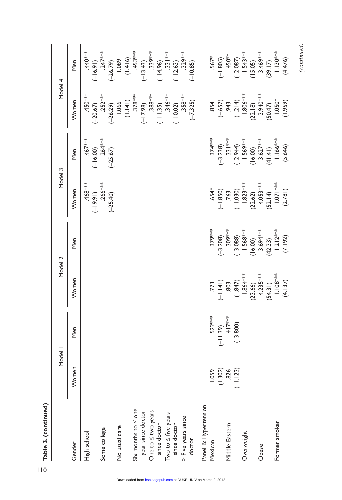|                          | Model I    |            | Model 2                                                                     |                                                                               | Model 3                                                |                                                                                                                                                             | Model 4                                                            |                                                                                             |
|--------------------------|------------|------------|-----------------------------------------------------------------------------|-------------------------------------------------------------------------------|--------------------------------------------------------|-------------------------------------------------------------------------------------------------------------------------------------------------------------|--------------------------------------------------------------------|---------------------------------------------------------------------------------------------|
| Gender                   | Women      | Men        | Women                                                                       | Men                                                                           | Women                                                  | Men                                                                                                                                                         | Women                                                              | Men                                                                                         |
| High school              |            |            |                                                                             |                                                                               |                                                        | $-467***$<br>$(-16.00)$                                                                                                                                     | $.450***$                                                          | $.440***$                                                                                   |
|                          |            |            |                                                                             |                                                                               |                                                        |                                                                                                                                                             | $(-20.67)$                                                         | $-16.91$                                                                                    |
| Some college             |            |            |                                                                             |                                                                               | .266***                                                | <b>264***</b>                                                                                                                                               | $.252***$                                                          |                                                                                             |
|                          |            |            |                                                                             |                                                                               | $(-25.40)$                                             | $(-25.67)$                                                                                                                                                  | $(-26.29)$<br>1.066<br>1.141)                                      | $-247$<br>$+26.79$<br>$-1.089$<br>$-1.416$<br>$-1.453$<br>$+53$<br>$+1.343$                 |
| No usual care            |            |            |                                                                             |                                                                               |                                                        |                                                                                                                                                             |                                                                    |                                                                                             |
|                          |            |            |                                                                             |                                                                               |                                                        |                                                                                                                                                             |                                                                    |                                                                                             |
| Six months to $\le$ one  |            |            |                                                                             |                                                                               |                                                        |                                                                                                                                                             | $.378***$                                                          |                                                                                             |
| year since doctor        |            |            |                                                                             |                                                                               |                                                        |                                                                                                                                                             | $(-17.98)$                                                         |                                                                                             |
| One to $\leq$ two years  |            |            |                                                                             |                                                                               |                                                        |                                                                                                                                                             | <b>388***</b>                                                      |                                                                                             |
| since doctor             |            |            |                                                                             |                                                                               |                                                        |                                                                                                                                                             | $(-11.35)$                                                         | ,4 <sub>&gt;)</sub><br>.339 <sup>}}}</sup> **<br>(−l4.96)<br>.?                             |
| Two to $\leq$ five years |            |            |                                                                             |                                                                               |                                                        |                                                                                                                                                             | $.346***$                                                          | $\frac{1}{33}$                                                                              |
| since doctor             |            |            |                                                                             |                                                                               |                                                        |                                                                                                                                                             | $(-10.02)$                                                         | $(-12.63)$                                                                                  |
| > Five years since       |            |            |                                                                             |                                                                               |                                                        |                                                                                                                                                             | $.358***$                                                          | $.329***$                                                                                   |
| doctor                   |            |            |                                                                             |                                                                               |                                                        |                                                                                                                                                             | $(-7.325)$                                                         | $-10.85$                                                                                    |
| Panel B: Hypertension    |            |            |                                                                             |                                                                               |                                                        |                                                                                                                                                             |                                                                    |                                                                                             |
| Mexican                  | 1.059      | $.522***$  | (141)                                                                       | $-3.79***$<br>(-3.208)                                                        | $.654*$                                                | $-374***$<br>$(-3.238)$                                                                                                                                     | .854                                                               | $.567*$                                                                                     |
|                          | (1.302)    | $(-11.39)$ |                                                                             |                                                                               | $(-1.850)$                                             |                                                                                                                                                             |                                                                    | $(-1.805)$                                                                                  |
| Middle Eastern           | .826       |            |                                                                             |                                                                               | .763                                                   |                                                                                                                                                             |                                                                    |                                                                                             |
|                          | $(-1.123)$ | $-3.800$ ) | $(1+8-)$                                                                    | ***<br>.309 <sup>3⇔</sup><br>****808.                                         | $(-1.030)$                                             |                                                                                                                                                             |                                                                    |                                                                                             |
| Overweight               |            |            | $1.864***$                                                                  |                                                                               |                                                        |                                                                                                                                                             |                                                                    |                                                                                             |
|                          |            |            |                                                                             |                                                                               |                                                        |                                                                                                                                                             | $(-.657)$<br>$943$<br>$(-.214)$<br>$1.806***$<br>$1.80$<br>3.940** |                                                                                             |
| Obese                    |            |            |                                                                             |                                                                               |                                                        |                                                                                                                                                             |                                                                    |                                                                                             |
|                          |            |            |                                                                             |                                                                               |                                                        |                                                                                                                                                             |                                                                    |                                                                                             |
| Former smoker            |            |            |                                                                             |                                                                               |                                                        |                                                                                                                                                             |                                                                    |                                                                                             |
|                          |            |            | $(23.66)$<br>$+235$ <sup>***</sup><br>$(54.31)$<br>$1.108$ ***<br>$(4.137)$ | $1.568***$<br>$(16.00)$<br>$3.694***$<br>$(42.33)$<br>$(1212***$<br>$(7.192)$ | 1.823***<br>(22.62)<br>4.053***<br>(52.14)<br>1.071*** | $\begin{array}{r} .331** \\ .331** \\ (-2.944) \\ -.569*** \\ .1569*** \\ .1600 \\ (-6.00) \\ 3.627*** \\ (-1.41) \\ (-1.66*** \\ -1.166*** \\ \end{array}$ | $(50.47)$<br>$1.050*$<br>$(1.959)$                                 | $-450***$<br>$(-2.087)$<br>$-1.543***$<br>$(15.05)$<br>$3.469***$<br>$(19.17)$<br>$(19.17)$ |

Table 3. (continued) **Table 3. (continued)**

# *(continued)*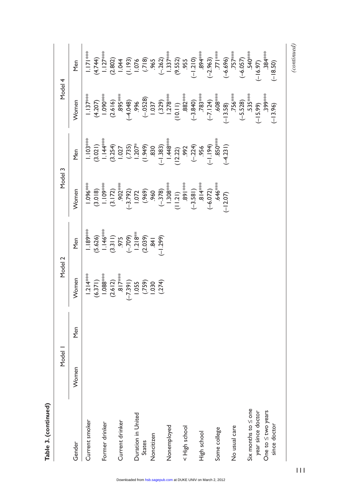| ۰ |
|---|
|   |
|   |
|   |
|   |
|   |
|   |
|   |
|   |
|   |
|   |
|   |
|   |
|   |
| c |
|   |
|   |
|   |
|   |
|   |
|   |

|                         | Model |     | Model 2                                                                                                                               |                                                                                                               | Model 3                                                                                                                                                                                             |                                                                                                                                                                                                                                                                              | Model 4                                                                                                                                                                                                                           |                                                                                                                                                                                                                                               |
|-------------------------|-------|-----|---------------------------------------------------------------------------------------------------------------------------------------|---------------------------------------------------------------------------------------------------------------|-----------------------------------------------------------------------------------------------------------------------------------------------------------------------------------------------------|------------------------------------------------------------------------------------------------------------------------------------------------------------------------------------------------------------------------------------------------------------------------------|-----------------------------------------------------------------------------------------------------------------------------------------------------------------------------------------------------------------------------------|-----------------------------------------------------------------------------------------------------------------------------------------------------------------------------------------------------------------------------------------------|
| Gender                  | Women | Men | Women                                                                                                                                 | Men                                                                                                           | Women                                                                                                                                                                                               | Men                                                                                                                                                                                                                                                                          | Women                                                                                                                                                                                                                             | Men                                                                                                                                                                                                                                           |
| Current smoker          |       |     |                                                                                                                                       | 1.189***                                                                                                      | $1.096***$                                                                                                                                                                                          | $1.103***$                                                                                                                                                                                                                                                                   | $1.137***$                                                                                                                                                                                                                        | $1.171***$                                                                                                                                                                                                                                    |
|                         |       |     |                                                                                                                                       |                                                                                                               |                                                                                                                                                                                                     |                                                                                                                                                                                                                                                                              |                                                                                                                                                                                                                                   | $(4.744)$<br>1.127***                                                                                                                                                                                                                         |
| Former drinker          |       |     |                                                                                                                                       |                                                                                                               |                                                                                                                                                                                                     |                                                                                                                                                                                                                                                                              |                                                                                                                                                                                                                                   |                                                                                                                                                                                                                                               |
|                         |       |     |                                                                                                                                       |                                                                                                               |                                                                                                                                                                                                     |                                                                                                                                                                                                                                                                              |                                                                                                                                                                                                                                   |                                                                                                                                                                                                                                               |
| Current drinker         |       |     |                                                                                                                                       |                                                                                                               |                                                                                                                                                                                                     |                                                                                                                                                                                                                                                                              |                                                                                                                                                                                                                                   |                                                                                                                                                                                                                                               |
|                         |       |     | $1.214$<br>$(6.371)$<br>$(6.371)$<br>$(2.612)$<br>$(2.612)$<br>$(8.71)$<br>$(8.71)$<br>$(1.55)$<br>$(-7.391)$<br>$(0.59)$<br>$(0.59)$ | $(5.626)$<br>$1.146$<br>$(3.311)$<br>$(3.311)$<br>$(-709)$<br>$(-1.218)$<br>$(2.039)$<br>$(3.41)$<br>$(3.41)$ | (3.018)<br>$1.109$<br>$1.09$<br>$1.3792$<br>$1.3792$<br>$1.308$<br>$1.308$<br>$1.308$<br>$1.308$<br>$1.308$<br>$1.308$<br>$1.308$<br>$1.304$<br>$1.304$<br>$1.304$<br>$1.304$<br>$1.304$<br>$1.304$ | $(3.021)$<br>$-1.44$<br>$(3.254)$<br>$-1.027$<br>$-1.207$<br>$-1.383$<br>$-1.44$<br>$-1.383$<br>$-1.44$<br>$-1.383$<br>$-1.44$<br>$-1.20$<br>$-1.44$<br>$-1.44$<br>$-1.44$<br>$-1.44$<br>$-1.44$<br>$-1.44$<br>$-1.44$<br>$-1.44$<br>$-1.44$<br>$-1.44$<br>$-1.44$<br>$-1.4$ | $(4.207)$ $(1.090***$ $(2.616)$ $(2.619)$ $(3.619)$ $(4.05***$ $(4.0537)$ $(5.0517)$ $(5.0517)$ $(1.011)$ $(1.011)$ $(1.011)$ $(1.011)$ $(1.011)$ $(1.011)$ $(1.011)$ $(1.011)$ $(1.011)$ $(1.011)$ $(1.011)$ $(1.011)$ $(1.011)$ | $(2.802)$<br>$(1.94)$<br>$(1.95)$<br>$(1.96)$<br>$(1.96)$<br>$(1.37)$<br>$(1.37)$<br>$(1.37)$<br>$(1.37)$<br>$(1.37)$<br>$(1.37)$<br>$(1.37)$<br>$(1.37)$<br>$(1.37)$<br>$(1.37)$<br>$(1.37)$<br>$(1.37)$<br>$(1.37)$<br>$(1.37)$<br>$(1.37)$ |
| Duration in United      |       |     |                                                                                                                                       |                                                                                                               |                                                                                                                                                                                                     |                                                                                                                                                                                                                                                                              |                                                                                                                                                                                                                                   |                                                                                                                                                                                                                                               |
| States                  |       |     |                                                                                                                                       |                                                                                                               |                                                                                                                                                                                                     |                                                                                                                                                                                                                                                                              |                                                                                                                                                                                                                                   |                                                                                                                                                                                                                                               |
| Noncitizen              |       |     |                                                                                                                                       |                                                                                                               |                                                                                                                                                                                                     |                                                                                                                                                                                                                                                                              |                                                                                                                                                                                                                                   |                                                                                                                                                                                                                                               |
|                         |       |     |                                                                                                                                       |                                                                                                               |                                                                                                                                                                                                     |                                                                                                                                                                                                                                                                              |                                                                                                                                                                                                                                   |                                                                                                                                                                                                                                               |
| Nonemployed             |       |     |                                                                                                                                       |                                                                                                               |                                                                                                                                                                                                     |                                                                                                                                                                                                                                                                              |                                                                                                                                                                                                                                   |                                                                                                                                                                                                                                               |
|                         |       |     |                                                                                                                                       |                                                                                                               |                                                                                                                                                                                                     |                                                                                                                                                                                                                                                                              |                                                                                                                                                                                                                                   |                                                                                                                                                                                                                                               |
| < High school           |       |     |                                                                                                                                       |                                                                                                               |                                                                                                                                                                                                     |                                                                                                                                                                                                                                                                              |                                                                                                                                                                                                                                   |                                                                                                                                                                                                                                               |
|                         |       |     |                                                                                                                                       |                                                                                                               |                                                                                                                                                                                                     |                                                                                                                                                                                                                                                                              |                                                                                                                                                                                                                                   |                                                                                                                                                                                                                                               |
| High school             |       |     |                                                                                                                                       |                                                                                                               |                                                                                                                                                                                                     |                                                                                                                                                                                                                                                                              |                                                                                                                                                                                                                                   |                                                                                                                                                                                                                                               |
|                         |       |     |                                                                                                                                       |                                                                                                               |                                                                                                                                                                                                     |                                                                                                                                                                                                                                                                              |                                                                                                                                                                                                                                   |                                                                                                                                                                                                                                               |
| Some college            |       |     |                                                                                                                                       |                                                                                                               |                                                                                                                                                                                                     |                                                                                                                                                                                                                                                                              |                                                                                                                                                                                                                                   |                                                                                                                                                                                                                                               |
|                         |       |     |                                                                                                                                       |                                                                                                               | $(-12.07)$                                                                                                                                                                                          | $(-4.231)$                                                                                                                                                                                                                                                                   |                                                                                                                                                                                                                                   |                                                                                                                                                                                                                                               |
| No usual care           |       |     |                                                                                                                                       |                                                                                                               |                                                                                                                                                                                                     |                                                                                                                                                                                                                                                                              |                                                                                                                                                                                                                                   |                                                                                                                                                                                                                                               |
|                         |       |     |                                                                                                                                       |                                                                                                               |                                                                                                                                                                                                     |                                                                                                                                                                                                                                                                              |                                                                                                                                                                                                                                   |                                                                                                                                                                                                                                               |
| Six months to $\le$ one |       |     |                                                                                                                                       |                                                                                                               |                                                                                                                                                                                                     |                                                                                                                                                                                                                                                                              |                                                                                                                                                                                                                                   |                                                                                                                                                                                                                                               |
| year since doctor       |       |     |                                                                                                                                       |                                                                                                               |                                                                                                                                                                                                     |                                                                                                                                                                                                                                                                              |                                                                                                                                                                                                                                   |                                                                                                                                                                                                                                               |
| One to ≤ two years      |       |     |                                                                                                                                       |                                                                                                               |                                                                                                                                                                                                     |                                                                                                                                                                                                                                                                              | 399***                                                                                                                                                                                                                            |                                                                                                                                                                                                                                               |
| since doctor            |       |     |                                                                                                                                       |                                                                                                               |                                                                                                                                                                                                     |                                                                                                                                                                                                                                                                              | $(-13.96)$                                                                                                                                                                                                                        | $(-18.50)$                                                                                                                                                                                                                                    |

*(continued)*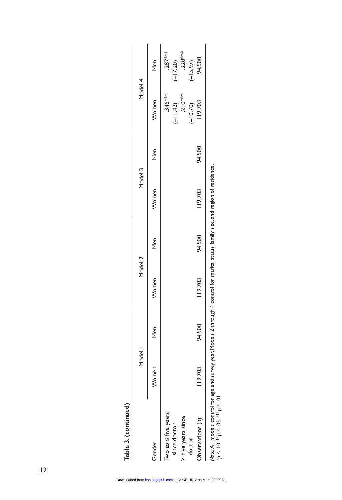| Table 3. (continued)                                                                                                                   |         |                 |         |        |         |        |            |            |
|----------------------------------------------------------------------------------------------------------------------------------------|---------|-----------------|---------|--------|---------|--------|------------|------------|
|                                                                                                                                        | Model I |                 | Model 2 |        | Model 3 |        | Model 4    |            |
| Gender                                                                                                                                 | Women   | M <sub>en</sub> | Women   | Men    | Women   | Men    | Women      | <b>Men</b> |
| Two to ≤ five years                                                                                                                    |         |                 |         |        |         |        | $.346***$  | $.287***$  |
| since doctor                                                                                                                           |         |                 |         |        |         |        | $(-11.42)$ | $(-17.20)$ |
| > Five years since                                                                                                                     |         |                 |         |        |         |        | $.210***$  | $.220***$  |
| doctor                                                                                                                                 |         |                 |         |        |         |        | $(-10.70)$ | $(-15.97)$ |
| Observations (n)                                                                                                                       | 119,703 | 94,500          | 119,703 | 94,500 | 119,703 | 94,500 | 119,703    | 94,500     |
| Note: All models control for age and survey year. Models 2 through 4 control for marital status, family size, and region of residence. |         |                 |         |        |         |        |            |            |

 $\Rightarrow$   $\frac{10.54}{5}$  = 10. \*\*p ≤ .05. \*\*\*p ≤ .01. \**p* ≤ .10. \*\**p* ≤ .05. \*\*\**p* ≤ .01.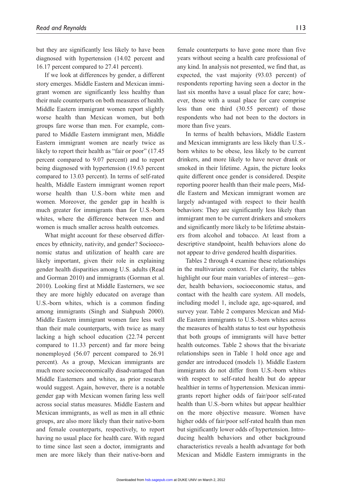but they are significantly less likely to have been diagnosed with hypertension (14.02 percent and 16.17 percent compared to 27.41 percent).

If we look at differences by gender, a different story emerges. Middle Eastern and Mexican immigrant women are significantly less healthy than their male counterparts on both measures of health. Middle Eastern immigrant women report slightly worse health than Mexican women, but both groups fare worse than men. For example, compared to Middle Eastern immigrant men, Middle Eastern immigrant women are nearly twice as likely to report their health as "fair or poor" (17.45) percent compared to 9.07 percent) and to report being diagnosed with hypertension (19.63 percent compared to 13.03 percent). In terms of self-rated health, Middle Eastern immigrant women report worse health than U.S.-born white men and women. Moreover, the gender gap in health is much greater for immigrants than for U.S.-born whites, where the difference between men and women is much smaller across health outcomes.

What might account for these observed differences by ethnicity, nativity, and gender? Socioeconomic status and utilization of health care are likely important, given their role in explaining gender health disparities among U.S. adults (Read and Gorman 2010) and immigrants (Gorman et al. 2010). Looking first at Middle Easterners, we see they are more highly educated on average than U.S.-born whites, which is a common finding among immigrants (Singh and Siahpush 2000). Middle Eastern immigrant women fare less well than their male counterparts, with twice as many lacking a high school education (22.74 percent compared to 11.33 percent) and far more being nonemployed (56.07 percent compared to 26.91 percent). As a group, Mexican immigrants are much more socioeconomically disadvantaged than Middle Easterners and whites, as prior research would suggest. Again, however, there is a notable gender gap with Mexican women faring less well across social status measures. Middle Eastern and Mexican immigrants, as well as men in all ethnic groups, are also more likely than their native-born and female counterparts, respectively, to report having no usual place for health care. With regard to time since last seen a doctor, immigrants and men are more likely than their native-born and

female counterparts to have gone more than five years without seeing a health care professional of any kind. In analysis not presented, we find that, as expected, the vast majority (93.03 percent) of respondents reporting having seen a doctor in the last six months have a usual place for care; however, those with a usual place for care comprise less than one third (30.55 percent) of those respondents who had not been to the doctors in more than five years.

In terms of health behaviors, Middle Eastern and Mexican immigrants are less likely than U.S. born whites to be obese, less likely to be current drinkers, and more likely to have never drank or smoked in their lifetime. Again, the picture looks quite different once gender is considered. Despite reporting poorer health than their male peers, Middle Eastern and Mexican immigrant women are largely advantaged with respect to their health behaviors: They are significantly less likely than immigrant men to be current drinkers and smokers and significantly more likely to be lifetime abstainers from alcohol and tobacco. At least from a descriptive standpoint, health behaviors alone do not appear to drive gendered health disparities.

Tables 2 through 4 examine these relationships in the multivariate context. For clarity, the tables highlight our four main variables of interest—gender, health behaviors, socioeconomic status, and contact with the health care system. All models, including model 1, include age, age-squared, and survey year. Table 2 compares Mexican and Middle Eastern immigrants to U.S.-born whites across the measures of health status to test our hypothesis that both groups of immigrants will have better health outcomes. Table 2 shows that the bivariate relationships seen in Table 1 hold once age and gender are introduced (models 1). Middle Eastern immigrants do not differ from U.S.-born whites with respect to self-rated health but do appear healthier in terms of hypertension. Mexican immigrants report higher odds of fair/poor self-rated health than U.S.-born whites but appear healthier on the more objective measure. Women have higher odds of fair/poor self-rated health than men but significantly lower odds of hypertension. Introducing health behaviors and other background characteristics reveals a health advantage for both Mexican and Middle Eastern immigrants in the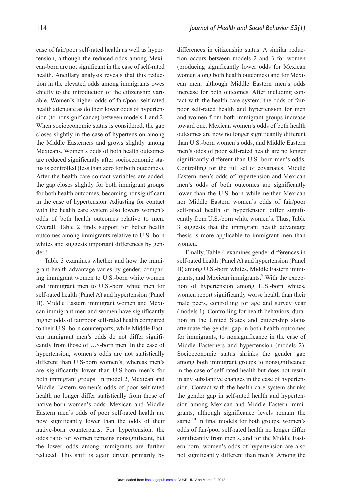case of fair/poor self-rated health as well as hypertension, although the reduced odds among Mexican-born are not significant in the case of self-rated health. Ancillary analysis reveals that this reduction in the elevated odds among immigrants owes chiefly to the introduction of the citizenship variable. Women's higher odds of fair/poor self-rated health attenuate as do their lower odds of hypertension (to nonsignificance) between models 1 and 2. When socioeconomic status is considered, the gap closes slightly in the case of hypertension among the Middle Easterners and grows slightly among Mexicans. Women's odds of both health outcomes are reduced significantly after socioeconomic status is controlled (less than zero for both outcomes). After the health care contact variables are added, the gap closes slightly for both immigrant groups for both health outcomes, becoming nonsignificant in the case of hypertension. Adjusting for contact with the health care system also lowers women's odds of both health outcomes relative to men. Overall, Table 2 finds support for better health outcomes among immigrants relative to U.S.-born whites and suggests important differences by gender.8

Table 3 examines whether and how the immigrant health advantage varies by gender, comparing immigrant women to U.S.-born white women and immigrant men to U.S.-born white men for self-rated health (Panel A) and hypertension (Panel B). Middle Eastern immigrant women and Mexican immigrant men and women have significantly higher odds of fair/poor self-rated health compared to their U.S.-born counterparts, while Middle Eastern immigrant men's odds do not differ significantly from those of U.S-born men. In the case of hypertension, women's odds are not statistically different than U.S-born women's, whereas men's are significantly lower than U.S-born men's for both immigrant groups. In model 2, Mexican and Middle Eastern women's odds of poor self-rated health no longer differ statistically from those of native-born women's odds. Mexican and Middle Eastern men's odds of poor self-rated health are now significantly lower than the odds of their native-born counterparts. For hypertension, the odds ratio for women remains nonsignificant, but the lower odds among immigrants are further reduced. This shift is again driven primarily by differences in citizenship status. A similar reduction occurs between models 2 and 3 for women (producing significantly lower odds for Mexican women along both health outcomes) and for Mexican men, although Middle Eastern men's odds increase for both outcomes. After including contact with the health care system, the odds of fair/ poor self-rated health and hypertension for men and women from both immigrant groups increase toward one. Mexican women's odds of both health outcomes are now no longer significantly different than U.S.-born women's odds, and Middle Eastern men's odds of poor self-rated health are no longer significantly different than U.S.-born men's odds. Controlling for the full set of covariates, Middle Eastern men's odds of hypertension and Mexican men's odds of both outcomes are significantly lower than the U.S.-born while neither Mexican nor Middle Eastern women's odds of fair/poor self-rated health or hypertension differ significantly from U.S.-born white women's. Thus, Table 3 suggests that the immigrant health advantage thesis is more applicable to immigrant men than women.

Finally, Table 4 examines gender differences in self-rated health (Panel A) and hypertension (Panel B) among U.S.-born whites, Middle Eastern immigrants, and Mexican immigrants.<sup>9</sup> With the exception of hypertension among U.S.-born whites, women report significantly worse health than their male peers, controlling for age and survey year (models 1). Controlling for health behaviors, duration in the United States and citizenship status attenuate the gender gap in both health outcomes for immigrants, to nonsignificance in the case of Middle Easterners and hypertension (models 2). Socioeconomic status shrinks the gender gap among both immigrant groups to nonsignificance in the case of self-rated health but does not result in any substantive changes in the case of hypertension. Contact with the health care system shrinks the gender gap in self-rated health and hypertension among Mexican and Middle Eastern immigrants, although significance levels remain the same. $10$  In final models for both groups, women's odds of fair/poor self-rated health no longer differ significantly from men's, and for the Middle Eastern-born, women's odds of hypertension are also not significantly different than men's. Among the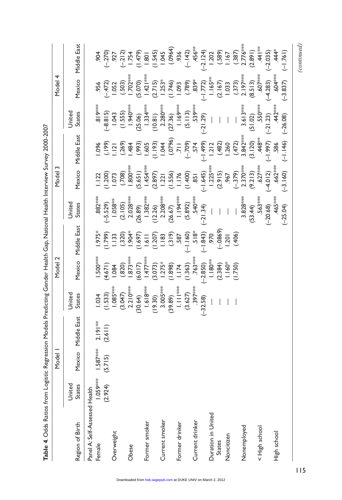| Table 4. Odds Ratios from Logistic Regression Models Predicting Gender Health Gap, National Health Interview Survey 2000-2007 |                  |            |                      |                                                                |                                                                                                                                        |             |                                                                                                                      |                                                                                                                                                                           |                                                                                                                                                                                                                                |                                                                                                                    |                                                                                                                                                                  |                                                                                                                                                                                                                                                                                             |
|-------------------------------------------------------------------------------------------------------------------------------|------------------|------------|----------------------|----------------------------------------------------------------|----------------------------------------------------------------------------------------------------------------------------------------|-------------|----------------------------------------------------------------------------------------------------------------------|---------------------------------------------------------------------------------------------------------------------------------------------------------------------------|--------------------------------------------------------------------------------------------------------------------------------------------------------------------------------------------------------------------------------|--------------------------------------------------------------------------------------------------------------------|------------------------------------------------------------------------------------------------------------------------------------------------------------------|---------------------------------------------------------------------------------------------------------------------------------------------------------------------------------------------------------------------------------------------------------------------------------------------|
|                                                                                                                               |                  | Model      |                      |                                                                | Model 2                                                                                                                                |             |                                                                                                                      | Model 3                                                                                                                                                                   |                                                                                                                                                                                                                                |                                                                                                                    | Model 4                                                                                                                                                          |                                                                                                                                                                                                                                                                                             |
| Region of Birth                                                                                                               | United<br>States | g<br>Mexi  | Middle East          | <b>J</b> nited<br><b>States</b>                                | Mexico                                                                                                                                 | Middle East | United<br>States                                                                                                     | Mexico                                                                                                                                                                    | Middle East                                                                                                                                                                                                                    | United<br>States                                                                                                   | Mexico                                                                                                                                                           | Middle East                                                                                                                                                                                                                                                                                 |
| Panel A: Self-Assessed Health<br>Female                                                                                       | $1.059***$       | $1.587***$ |                      | 1.034                                                          |                                                                                                                                        | $1.975*$    | $.882***$                                                                                                            |                                                                                                                                                                           |                                                                                                                                                                                                                                | $\frac{1}{8}$<br>819**                                                                                             |                                                                                                                                                                  |                                                                                                                                                                                                                                                                                             |
|                                                                                                                               | (2.924)          | (5.715)    | $2.191**$<br>(2.611) |                                                                | $1.500***$<br>(4.671)<br>1.084                                                                                                         |             | $(-5.529)$<br>1.058**<br>(2.105)<br>2.028***                                                                         | 1.122<br>(1.200)<br>(1.300)<br>(1.300)<br>(1.356)<br>(1.356)<br>(1.356)<br>(1.356)<br>(1.358)<br>(1.358)<br>(1.379***<br>(1.379***<br>(1.379***<br>(1.379***<br>(1.379*** | $1.269$ $-1.21$ $-1.249$ $-1.249$ $-1.249$ $-1.249$ $-1.249$ $-1.249$ $-1.249$ $-1.249$ $-1.249$ $-1.249$ $-1.249$ $-1.249$ $-1.249$ $-1.249$ $-1.249$ $-1.249$ $-1.249$ $-1.249$ $-1.249$ $-1.249$ $-1.249$ $-1.249$ $-1.249$ | $(-8.815)$<br>1.043<br>(1.555)<br>(1.940***                                                                        | $(-472)$<br>$(-472)$<br>$1.052$                                                                                                                                  | $(1880)$<br>$(1880)$<br>$(1.54)$<br>$(-1.75)$<br>$(-1.75)$<br>$(-1.75)$<br>$(-1.75)$<br>$(-1.75)$<br>$(-1.75)$<br>$(-1.75)$<br>$(-1.75)$<br>$(-1.75)$<br>$(-1.75)$<br>$(-1.75)$<br>$(-1.75)$<br>$(-1.75)$<br>$(-1.75)$<br>$(-1.75)$<br>$(-1.75)$<br>$(-1.75)$<br>$(-1.75)$<br>$(-1.75)$<br> |
| Overweight                                                                                                                    |                  |            |                      | $(1.533)$<br>$1.085***$                                        |                                                                                                                                        |             |                                                                                                                      |                                                                                                                                                                           |                                                                                                                                                                                                                                |                                                                                                                    |                                                                                                                                                                  |                                                                                                                                                                                                                                                                                             |
|                                                                                                                               |                  |            |                      |                                                                | $(0.820)$<br>1.873***                                                                                                                  |             |                                                                                                                      |                                                                                                                                                                           |                                                                                                                                                                                                                                |                                                                                                                    | $(.503)$<br>1.702***                                                                                                                                             |                                                                                                                                                                                                                                                                                             |
| Obese                                                                                                                         |                  |            |                      | $(3.047)$<br>2.210***                                          |                                                                                                                                        |             |                                                                                                                      |                                                                                                                                                                           |                                                                                                                                                                                                                                |                                                                                                                    |                                                                                                                                                                  |                                                                                                                                                                                                                                                                                             |
|                                                                                                                               |                  |            |                      | (30.64)                                                        |                                                                                                                                        |             |                                                                                                                      |                                                                                                                                                                           |                                                                                                                                                                                                                                |                                                                                                                    |                                                                                                                                                                  |                                                                                                                                                                                                                                                                                             |
| Former smoker                                                                                                                 |                  |            |                      | $1.618***$                                                     | $(6.017)$<br>1.477***                                                                                                                  |             |                                                                                                                      |                                                                                                                                                                           |                                                                                                                                                                                                                                |                                                                                                                    | $(5.070)$<br>1.421***                                                                                                                                            |                                                                                                                                                                                                                                                                                             |
|                                                                                                                               |                  |            |                      | (19.30)                                                        |                                                                                                                                        |             |                                                                                                                      |                                                                                                                                                                           |                                                                                                                                                                                                                                |                                                                                                                    |                                                                                                                                                                  |                                                                                                                                                                                                                                                                                             |
| Current smoker                                                                                                                |                  |            |                      | $3.005***$                                                     |                                                                                                                                        |             |                                                                                                                      |                                                                                                                                                                           |                                                                                                                                                                                                                                |                                                                                                                    |                                                                                                                                                                  |                                                                                                                                                                                                                                                                                             |
|                                                                                                                               |                  |            |                      | $(39.89)$<br>$1.111$<br>$(3.627)$<br>$(3.627)$<br>$(3.97$ **** |                                                                                                                                        |             |                                                                                                                      |                                                                                                                                                                           |                                                                                                                                                                                                                                |                                                                                                                    |                                                                                                                                                                  |                                                                                                                                                                                                                                                                                             |
| Former drinker                                                                                                                |                  |            |                      |                                                                |                                                                                                                                        |             |                                                                                                                      |                                                                                                                                                                           |                                                                                                                                                                                                                                |                                                                                                                    |                                                                                                                                                                  |                                                                                                                                                                                                                                                                                             |
|                                                                                                                               |                  |            |                      |                                                                |                                                                                                                                        |             |                                                                                                                      |                                                                                                                                                                           |                                                                                                                                                                                                                                |                                                                                                                    |                                                                                                                                                                  |                                                                                                                                                                                                                                                                                             |
| Current drinker                                                                                                               |                  |            |                      |                                                                |                                                                                                                                        |             |                                                                                                                      |                                                                                                                                                                           |                                                                                                                                                                                                                                |                                                                                                                    |                                                                                                                                                                  |                                                                                                                                                                                                                                                                                             |
|                                                                                                                               |                  |            |                      | $(-32.58)$                                                     | $(3.073)$<br>$1.275^*$<br>$(-1.363)$<br>$(-1.363)$<br>$(-1.363)$<br>$(-1.363)$<br>$(-1.363)$<br>$(-1.363)$<br>$(-1.363)$<br>$(-1.363)$ |             | $(26.89)$<br>$1.382***$<br>$(12.26)$<br>$2.208***$<br>$(26.67)$<br>$1.194***$<br>$5.40***$<br>$(5.892)$<br>$5.40***$ |                                                                                                                                                                           |                                                                                                                                                                                                                                | $(25.06)$<br>$1.334***$<br>$(10.81)$<br>$2.280***$<br>$(27.36)$<br>$1.169***$<br>$5.113$<br>$(5.113)$<br>$(5.113)$ | $(2.715)$<br>$1.25$ <sup>3</sup><br>$(1.746)$<br>$(1.746)$<br>$(1.749)$<br>$(1.772)$<br>$(1.65)$<br>$(1.67)$<br>$(1.633)$<br>$(1.772)$<br>$(1.673)$<br>$(1.773)$ |                                                                                                                                                                                                                                                                                             |
| Duration in United                                                                                                            |                  |            |                      |                                                                |                                                                                                                                        |             |                                                                                                                      |                                                                                                                                                                           |                                                                                                                                                                                                                                |                                                                                                                    |                                                                                                                                                                  |                                                                                                                                                                                                                                                                                             |
| States                                                                                                                        |                  |            |                      |                                                                |                                                                                                                                        |             |                                                                                                                      |                                                                                                                                                                           |                                                                                                                                                                                                                                | $\overline{\phantom{a}}$                                                                                           |                                                                                                                                                                  |                                                                                                                                                                                                                                                                                             |
| Noncitizen                                                                                                                    |                  |            |                      |                                                                |                                                                                                                                        |             |                                                                                                                      |                                                                                                                                                                           |                                                                                                                                                                                                                                | $\bigg  \hspace{1cm}$                                                                                              |                                                                                                                                                                  |                                                                                                                                                                                                                                                                                             |
|                                                                                                                               |                  |            |                      |                                                                |                                                                                                                                        |             |                                                                                                                      |                                                                                                                                                                           |                                                                                                                                                                                                                                |                                                                                                                    |                                                                                                                                                                  |                                                                                                                                                                                                                                                                                             |
| Nonemployed                                                                                                                   |                  |            |                      |                                                                |                                                                                                                                        |             | $3.828***$                                                                                                           |                                                                                                                                                                           |                                                                                                                                                                                                                                | $3.613***$                                                                                                         |                                                                                                                                                                  |                                                                                                                                                                                                                                                                                             |
|                                                                                                                               |                  |            |                      |                                                                |                                                                                                                                        |             | (53.44)                                                                                                              |                                                                                                                                                                           | (3.120)                                                                                                                                                                                                                        | (51.02)                                                                                                            | $(8.513)$<br>$.607***$<br>$(-4.283)$                                                                                                                             |                                                                                                                                                                                                                                                                                             |
| < High school                                                                                                                 |                  |            |                      |                                                                |                                                                                                                                        |             | $.563***$                                                                                                            |                                                                                                                                                                           | $.448**$                                                                                                                                                                                                                       |                                                                                                                    |                                                                                                                                                                  |                                                                                                                                                                                                                                                                                             |
|                                                                                                                               |                  |            |                      |                                                                |                                                                                                                                        |             | $(-20.68)$                                                                                                           | $(-4.012)$<br>$662***$                                                                                                                                                    | $(-1.997)$<br>586                                                                                                                                                                                                              | $(32)$<br>550***<br>(-21.23)<br>4                                                                                  |                                                                                                                                                                  | $(-2.035)$                                                                                                                                                                                                                                                                                  |
| High school                                                                                                                   |                  |            |                      |                                                                |                                                                                                                                        |             | $.465***$                                                                                                            |                                                                                                                                                                           |                                                                                                                                                                                                                                | $.442***$                                                                                                          | $.604***$                                                                                                                                                        | $.444*$                                                                                                                                                                                                                                                                                     |
|                                                                                                                               |                  |            |                      |                                                                |                                                                                                                                        |             | $(-25.04)$                                                                                                           | $(-3.160)$                                                                                                                                                                | $(-1.146)$                                                                                                                                                                                                                     | $(-26.08)$                                                                                                         | $(-3.837)$                                                                                                                                                       | $(-1.761)$                                                                                                                                                                                                                                                                                  |

115

*(continued)*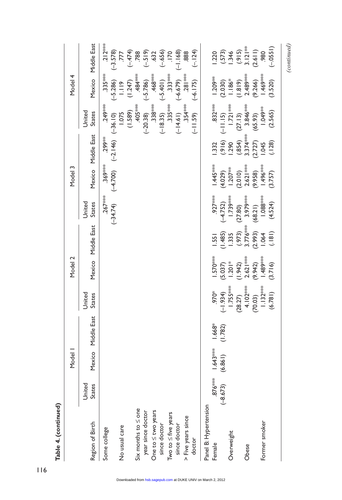| Table 4. (continued)                 |                         |            |                    |                         |                       |                                                         |                  |                                                                 |                                |                      |                             |                                           |
|--------------------------------------|-------------------------|------------|--------------------|-------------------------|-----------------------|---------------------------------------------------------|------------------|-----------------------------------------------------------------|--------------------------------|----------------------|-----------------------------|-------------------------------------------|
|                                      |                         | Model      |                    |                         | Model 2               |                                                         |                  | Model 3                                                         |                                |                      | Model 4                     |                                           |
| Region of Birth                      | United<br><b>States</b> | Mexico     | Middle East        | United<br><b>States</b> |                       | Mexico Middle East                                      | United<br>States | Mexico Middle East                                              |                                | United<br>States     |                             | Mexico Middle East                        |
| Some college                         |                         |            |                    |                         |                       |                                                         | $.267***$        | $.369***$                                                       | $.299**$                       | $.249***$            | $.335***$                   | $.212***$                                 |
| No usual care                        |                         |            |                    |                         |                       |                                                         | $(-34.74)$       | $(-4.700)$                                                      | $(-2.146)$                     | I.075<br>$(-36.10)$  | $(-5.286)$<br>$\frac{9}{1}$ | $(-3.578)$<br>(474)                       |
| Six months to $\le$ one              |                         |            |                    |                         |                       |                                                         |                  |                                                                 |                                | $.405***$<br>(1.589) | $.484***$<br>(1.247)        | .788                                      |
| year since doctor                    |                         |            |                    |                         |                       |                                                         |                  |                                                                 |                                | $(-20.38)$           | $(-5.786)$                  | $(-.519)$                                 |
| One to $\leq$ two years              |                         |            |                    |                         |                       |                                                         |                  |                                                                 |                                | $.338***$            | $.468***$                   | .632                                      |
| since doctor                         |                         |            |                    |                         |                       |                                                         |                  |                                                                 |                                | $(-18.35)$           | $(-5.401)$                  | $(-.656)$                                 |
| $Two to \leq five yearssince doctor$ |                         |            |                    |                         |                       |                                                         |                  |                                                                 |                                | $.335***$            | $.33***$                    | .170                                      |
|                                      |                         |            |                    |                         |                       |                                                         |                  |                                                                 |                                | $(-14.61)$           | $(-6.679)$                  | $(-1.168)$                                |
| > Five years since                   |                         |            |                    |                         |                       |                                                         |                  |                                                                 |                                | $.354***$            | $.281***$                   | 888                                       |
| doctor                               |                         |            |                    |                         |                       |                                                         |                  |                                                                 |                                | $(-11.59)$           | $(-6.175)$                  | $(-.124)$                                 |
| Panel B: Hypertension                |                         |            |                    |                         |                       |                                                         |                  |                                                                 |                                |                      |                             |                                           |
| Female                               | $876***$                | $1.643***$ | 1.668 <sup>*</sup> | .970*                   | $1.570$ ***           | <b>1.55</b>                                             | $.927***$        | $1.445***$                                                      | 1.332                          | $.832***$            | <b>1.209**</b>              | 1.220                                     |
|                                      | $(-8.673)$              | (6.861)    | (1.782)            | $(-1.934)$              | $(5.037)$<br>$1.201*$ | (1.485)                                                 | $(-4.752)$       |                                                                 | $(916)$<br>$(290)$             | $(-11.15)$           | (2.030)                     | $(.573)$<br>$.346$                        |
| Overweight                           |                         |            |                    | $1.755***$              |                       | $\begin{array}{c} (973) \\ (973) \\ (3176) \end{array}$ | 1.739***         | $(4.029)$<br>$1.207***$<br>$(2.010)$<br>$2.621***$<br>$(9.958)$ |                                | $1.721***$           | $1.186*$                    |                                           |
|                                      |                         |            |                    | (28.27)                 | (1.942)               |                                                         | (27.80)          |                                                                 | (854)                          | (27.13)              | (1.819)                     | $(915)$<br>3.121 <sup>**</sup><br>(2.611) |
| Obese                                |                         |            |                    | 4.102***                | $2.621***$            |                                                         | $3.979***$       |                                                                 |                                | 3.846***             | $2.489***$                  |                                           |
|                                      |                         |            |                    | (70.03)                 | (9.942)               | $(2.993)$<br>$1.064$                                    | (68.21)          |                                                                 | $3.374***$<br>(2.727)<br>1.045 | (65.93)              | (9.266)                     |                                           |
| Former smoker                        |                         |            |                    | $1.132***$              | $1.489***$            |                                                         | $1.088***$       | $1.496***$                                                      |                                | 1.049**              | 1.469***                    | ,980                                      |
|                                      |                         |            |                    | (6.781)                 | (3.716)               | (181)                                                   | (4.524)          | (3.757)                                                         | (.128)                         | (2.565)              | (3.520)                     | $-0551$                                   |
|                                      |                         |            |                    |                         |                       |                                                         |                  |                                                                 |                                |                      |                             | (continued)                               |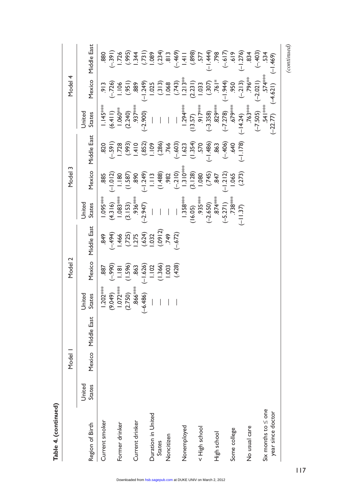|                         |                         | Model  |             |                                                  | Model 2                                                                                                                                                                                                         |                                                                                                        |                                                                                                                                                                                                                                                                                                                                                                                                                                                                                                       | Model 3                                                                                                                                                                                                                                                                                                                                           |                                                                                                                                                                                                                                                                                        |                                                                                                                                                 | Model 4                                                                                                                                                                                                                                                                                                |                                                                                                                                                                                                                                |
|-------------------------|-------------------------|--------|-------------|--------------------------------------------------|-----------------------------------------------------------------------------------------------------------------------------------------------------------------------------------------------------------------|--------------------------------------------------------------------------------------------------------|-------------------------------------------------------------------------------------------------------------------------------------------------------------------------------------------------------------------------------------------------------------------------------------------------------------------------------------------------------------------------------------------------------------------------------------------------------------------------------------------------------|---------------------------------------------------------------------------------------------------------------------------------------------------------------------------------------------------------------------------------------------------------------------------------------------------------------------------------------------------|----------------------------------------------------------------------------------------------------------------------------------------------------------------------------------------------------------------------------------------------------------------------------------------|-------------------------------------------------------------------------------------------------------------------------------------------------|--------------------------------------------------------------------------------------------------------------------------------------------------------------------------------------------------------------------------------------------------------------------------------------------------------|--------------------------------------------------------------------------------------------------------------------------------------------------------------------------------------------------------------------------------|
| Region of Birth         | United<br><b>States</b> | Mexico | Middle East | United<br>States                                 | Mexico                                                                                                                                                                                                          | Middle East                                                                                            | United<br>States                                                                                                                                                                                                                                                                                                                                                                                                                                                                                      | Mexico                                                                                                                                                                                                                                                                                                                                            | Middle East                                                                                                                                                                                                                                                                            | United<br>States                                                                                                                                | Mexico                                                                                                                                                                                                                                                                                                 | Middle East                                                                                                                                                                                                                    |
| Current smoker          |                         |        |             | $1.202***$                                       | .887                                                                                                                                                                                                            |                                                                                                        |                                                                                                                                                                                                                                                                                                                                                                                                                                                                                                       | .885                                                                                                                                                                                                                                                                                                                                              |                                                                                                                                                                                                                                                                                        | $1.145***$                                                                                                                                      |                                                                                                                                                                                                                                                                                                        |                                                                                                                                                                                                                                |
|                         |                         |        |             | $(9.049)$<br>$1.072***$<br>$(2.750)$<br>$866***$ |                                                                                                                                                                                                                 | 849<br>(-494 )<br>(-494 )<br>(-494 )<br>(-494 )<br>(-494 )<br>(-494 )<br>(-494 )<br>(-502 )<br>(-502 ) | $1.95$ <sup>***</sup><br>(4.316)<br>(1.3033***<br>(3.153)<br>(12.947)                                                                                                                                                                                                                                                                                                                                                                                                                                 |                                                                                                                                                                                                                                                                                                                                                   | 820<br>$(-59)$<br>$(-59)$<br>$(-59)$<br>$(-59)$<br>$(-59)$<br>$(-59)$<br>$(-59)$<br>$(-59)$<br>$(-59)$<br>$(-59)$<br>$(-59)$<br>$(-59)$<br>$(-59)$<br>$(-59)$<br>$(-59)$<br>$(-59)$<br>$(-59)$<br>$(-59)$<br>$(-59)$<br>$(-59)$<br>$(-59)$<br>$(-59)$<br>$(-59)$<br>$(-59)$<br>$(-59)$ |                                                                                                                                                 | $(131)$<br>$(-726)$<br>$(-106)$<br>$(-85)$<br>$(-124)$<br>$(-124)$<br>$(-124)$<br>$(-124)$<br>$(-124)$<br>$(-124)$<br>$(-124)$<br>$(-124)$<br>$(-124)$<br>$(-124)$<br>$(-124)$<br>$(-124)$<br>$(-124)$<br>$(-124)$<br>$(-124)$<br>$(-124)$<br>$(-124)$<br>$(-124)$<br>$(-124)$<br>$(-124)$<br>$(-124)$ | $1.726$ $-1.739$ $-1.739$ $-1.739$ $-1.739$ $-1.739$ $-1.739$ $-1.739$ $-1.739$ $-1.739$ $-1.739$ $-1.739$ $-1.739$ $-1.739$ $-1.739$ $-1.739$ $-1.739$ $-1.739$ $-1.739$ $-1.739$ $-1.739$ $-1.739$ $-1.739$ $-1.739$ $-1.73$ |
| Former drinker          |                         |        |             |                                                  |                                                                                                                                                                                                                 |                                                                                                        |                                                                                                                                                                                                                                                                                                                                                                                                                                                                                                       |                                                                                                                                                                                                                                                                                                                                                   |                                                                                                                                                                                                                                                                                        |                                                                                                                                                 |                                                                                                                                                                                                                                                                                                        |                                                                                                                                                                                                                                |
|                         |                         |        |             |                                                  |                                                                                                                                                                                                                 |                                                                                                        |                                                                                                                                                                                                                                                                                                                                                                                                                                                                                                       |                                                                                                                                                                                                                                                                                                                                                   |                                                                                                                                                                                                                                                                                        |                                                                                                                                                 |                                                                                                                                                                                                                                                                                                        |                                                                                                                                                                                                                                |
| Current drinker         |                         |        |             |                                                  |                                                                                                                                                                                                                 |                                                                                                        |                                                                                                                                                                                                                                                                                                                                                                                                                                                                                                       |                                                                                                                                                                                                                                                                                                                                                   |                                                                                                                                                                                                                                                                                        |                                                                                                                                                 |                                                                                                                                                                                                                                                                                                        |                                                                                                                                                                                                                                |
|                         |                         |        |             | $(-6.486)$                                       | $(6.43)$ $(7.43)$ $(-1.43)$ $(-1.43)$ $(-1.43)$ $(-1.43)$ $(-1.43)$ $(-1.43)$ $(-1.43)$ $(-1.43)$ $(-1.43)$ $(-1.43)$ $(-1.43)$ $(-1.43)$ $(-1.43)$ $(-1.43)$ $(-1.43)$ $(-1.43)$ $(-1.43)$ $(-1.43)$ $(-1.43)$ |                                                                                                        |                                                                                                                                                                                                                                                                                                                                                                                                                                                                                                       | $\begin{array}{r} (-1.012) \\ (-1.180) \\ (-1.180) \\ (-1.180) \\ (-1.180) \\ (-1.180) \\ (-1.180) \\ (-1.180) \\ (-1.180) \\ (-1.180) \\ (-1.180) \\ (-1.180) \\ (-1.180) \\ (-1.180) \\ (-1.180) \\ (-1.180) \\ (-1.180) \\ (-1.180) \\ (-1.180) \\ (-1.180) \\ (-1.180) \\ (-1.180) \\ (-1.180) \\ (-1.180) \\ (-1.180) \\ (-1.180) \\ (-1.18$ |                                                                                                                                                                                                                                                                                        | $(6.411)$<br>$1.060***$<br>$(2.240)$<br>$937***$<br>$(-2.900)$                                                                                  |                                                                                                                                                                                                                                                                                                        |                                                                                                                                                                                                                                |
| Duration in United      |                         |        |             |                                                  |                                                                                                                                                                                                                 |                                                                                                        |                                                                                                                                                                                                                                                                                                                                                                                                                                                                                                       |                                                                                                                                                                                                                                                                                                                                                   |                                                                                                                                                                                                                                                                                        |                                                                                                                                                 |                                                                                                                                                                                                                                                                                                        |                                                                                                                                                                                                                                |
| <b>States</b>           |                         |        |             |                                                  |                                                                                                                                                                                                                 |                                                                                                        | $\begin{array}{c} \hline \end{array}$                                                                                                                                                                                                                                                                                                                                                                                                                                                                 |                                                                                                                                                                                                                                                                                                                                                   |                                                                                                                                                                                                                                                                                        | $\overline{\phantom{a}}$                                                                                                                        |                                                                                                                                                                                                                                                                                                        |                                                                                                                                                                                                                                |
| Noncitizen              |                         |        |             |                                                  |                                                                                                                                                                                                                 |                                                                                                        | $\overline{\phantom{a}}$                                                                                                                                                                                                                                                                                                                                                                                                                                                                              |                                                                                                                                                                                                                                                                                                                                                   |                                                                                                                                                                                                                                                                                        | $\overline{\phantom{a}}$                                                                                                                        |                                                                                                                                                                                                                                                                                                        |                                                                                                                                                                                                                                |
|                         |                         |        |             |                                                  |                                                                                                                                                                                                                 |                                                                                                        |                                                                                                                                                                                                                                                                                                                                                                                                                                                                                                       |                                                                                                                                                                                                                                                                                                                                                   |                                                                                                                                                                                                                                                                                        |                                                                                                                                                 |                                                                                                                                                                                                                                                                                                        |                                                                                                                                                                                                                                |
| Nonemployed             |                         |        |             |                                                  |                                                                                                                                                                                                                 |                                                                                                        |                                                                                                                                                                                                                                                                                                                                                                                                                                                                                                       |                                                                                                                                                                                                                                                                                                                                                   |                                                                                                                                                                                                                                                                                        |                                                                                                                                                 |                                                                                                                                                                                                                                                                                                        |                                                                                                                                                                                                                                |
|                         |                         |        |             |                                                  |                                                                                                                                                                                                                 |                                                                                                        | $\begin{array}{r} -\ \ \displaystyle{1.358^{***}}\ \ \displaystyle{(16.05)}\ \ \displaystyle{(16.05)}\ \ \displaystyle{(2.650)}\ \ \displaystyle{(2.650)}\ \ \displaystyle{(2.650)}\ \ \displaystyle{(2.650)}\ \ \displaystyle{(2.650)}\ \ \displaystyle{(2.650)}\ \ \displaystyle{(2.650)}\ \ \displaystyle{(2.650)}\ \ \displaystyle{(2.650)}\ \ \displaystyle{(2.650)}\ \ \displaystyle{(2.650)}\ \ \displaystyle{(2.650)}\ \ \displaystyle{(2.650)}\ \ \displaystyle{(2.650)}\ \ \displaystyle{($ |                                                                                                                                                                                                                                                                                                                                                   |                                                                                                                                                                                                                                                                                        |                                                                                                                                                 |                                                                                                                                                                                                                                                                                                        |                                                                                                                                                                                                                                |
| < High school           |                         |        |             |                                                  |                                                                                                                                                                                                                 |                                                                                                        |                                                                                                                                                                                                                                                                                                                                                                                                                                                                                                       |                                                                                                                                                                                                                                                                                                                                                   |                                                                                                                                                                                                                                                                                        |                                                                                                                                                 |                                                                                                                                                                                                                                                                                                        |                                                                                                                                                                                                                                |
|                         |                         |        |             |                                                  |                                                                                                                                                                                                                 |                                                                                                        |                                                                                                                                                                                                                                                                                                                                                                                                                                                                                                       |                                                                                                                                                                                                                                                                                                                                                   |                                                                                                                                                                                                                                                                                        |                                                                                                                                                 |                                                                                                                                                                                                                                                                                                        |                                                                                                                                                                                                                                |
| High school             |                         |        |             |                                                  |                                                                                                                                                                                                                 |                                                                                                        |                                                                                                                                                                                                                                                                                                                                                                                                                                                                                                       |                                                                                                                                                                                                                                                                                                                                                   |                                                                                                                                                                                                                                                                                        |                                                                                                                                                 |                                                                                                                                                                                                                                                                                                        |                                                                                                                                                                                                                                |
|                         |                         |        |             |                                                  |                                                                                                                                                                                                                 |                                                                                                        |                                                                                                                                                                                                                                                                                                                                                                                                                                                                                                       |                                                                                                                                                                                                                                                                                                                                                   |                                                                                                                                                                                                                                                                                        |                                                                                                                                                 |                                                                                                                                                                                                                                                                                                        |                                                                                                                                                                                                                                |
| Some college            |                         |        |             |                                                  |                                                                                                                                                                                                                 |                                                                                                        |                                                                                                                                                                                                                                                                                                                                                                                                                                                                                                       |                                                                                                                                                                                                                                                                                                                                                   |                                                                                                                                                                                                                                                                                        |                                                                                                                                                 |                                                                                                                                                                                                                                                                                                        |                                                                                                                                                                                                                                |
|                         |                         |        |             |                                                  |                                                                                                                                                                                                                 |                                                                                                        | $-11.37$                                                                                                                                                                                                                                                                                                                                                                                                                                                                                              | (273)                                                                                                                                                                                                                                                                                                                                             | $-1.178$                                                                                                                                                                                                                                                                               |                                                                                                                                                 |                                                                                                                                                                                                                                                                                                        |                                                                                                                                                                                                                                |
| No usual care           |                         |        |             |                                                  |                                                                                                                                                                                                                 |                                                                                                        |                                                                                                                                                                                                                                                                                                                                                                                                                                                                                                       |                                                                                                                                                                                                                                                                                                                                                   |                                                                                                                                                                                                                                                                                        |                                                                                                                                                 |                                                                                                                                                                                                                                                                                                        |                                                                                                                                                                                                                                |
|                         |                         |        |             |                                                  |                                                                                                                                                                                                                 |                                                                                                        |                                                                                                                                                                                                                                                                                                                                                                                                                                                                                                       |                                                                                                                                                                                                                                                                                                                                                   |                                                                                                                                                                                                                                                                                        |                                                                                                                                                 |                                                                                                                                                                                                                                                                                                        |                                                                                                                                                                                                                                |
| Six months to $\le$ one |                         |        |             |                                                  |                                                                                                                                                                                                                 |                                                                                                        |                                                                                                                                                                                                                                                                                                                                                                                                                                                                                                       |                                                                                                                                                                                                                                                                                                                                                   |                                                                                                                                                                                                                                                                                        |                                                                                                                                                 |                                                                                                                                                                                                                                                                                                        |                                                                                                                                                                                                                                |
| year since doctor       |                         |        |             |                                                  |                                                                                                                                                                                                                 |                                                                                                        |                                                                                                                                                                                                                                                                                                                                                                                                                                                                                                       |                                                                                                                                                                                                                                                                                                                                                   |                                                                                                                                                                                                                                                                                        | $(13.57)$ $(13.57)$<br>$(13.57)$<br>$(3.358)$<br>$(-7.278)$<br>$(67.278)$<br>$(-1.278)$<br>$(-1.278)$<br>$(-1.278)$<br>$(-1.505)$<br>$(-7.505)$ | $(-4.621)$                                                                                                                                                                                                                                                                                             | $(-1.469)$                                                                                                                                                                                                                     |

*(continued)*

117

Table 4. (continued) **Table 4. (continued)**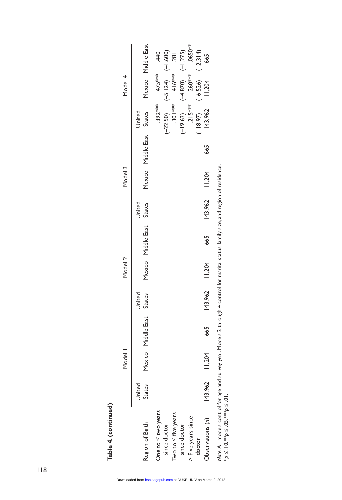|                                                                                                                                                                                                                      |                                | Model  |             |                  | Model 2 |                    |                  | Model 3 |                    |                                                                                                                                                                                                                           | Model 4            |                    |
|----------------------------------------------------------------------------------------------------------------------------------------------------------------------------------------------------------------------|--------------------------------|--------|-------------|------------------|---------|--------------------|------------------|---------|--------------------|---------------------------------------------------------------------------------------------------------------------------------------------------------------------------------------------------------------------------|--------------------|--------------------|
| Region of Birth                                                                                                                                                                                                      | <b>States</b><br><b>Jnited</b> | Mexico | Middle East | States<br>United |         | Mexico Middle East | States<br>United |         | Mexico Middle East | States<br>United                                                                                                                                                                                                          |                    | Mexico Middle East |
| One to ≤ two years<br>Two to $\leq$ five years<br>> Five years since<br>Observations (n)<br>since doctor<br>since doctor<br>doctor                                                                                   | 143,962                        | 11,204 | 665         | 143,962 11,204   |         | 665                | 143,962          | 11,204  | 665                | $(-19.63)$ $(-4.870)$ $(-1.275)$<br>$-215$ <sup>***</sup> .260 <sup>**</sup> .0650 <sup>**</sup><br>$(-18.97)$ $(-6.526)$ $(-2.314)$<br>$(-22.50)$ $(-5.124)$ $(-1.600)$<br>301*** $A16$ *** .281<br>$.392***$<br>143,962 | $475***$<br>11,204 | 440<br>665         |
| Note: All models control for age and survey year. Models 2 through 4 control for marital status, family size, and region of residence.<br>$\ast_{\beta} \leq .10.$ $\ast_{\beta} \leq .05.$ $\ast_{\alpha} \leq 01.$ |                                |        |             |                  |         |                    |                  |         |                    |                                                                                                                                                                                                                           |                    |                    |

| ١ |
|---|
|   |
|   |
|   |
|   |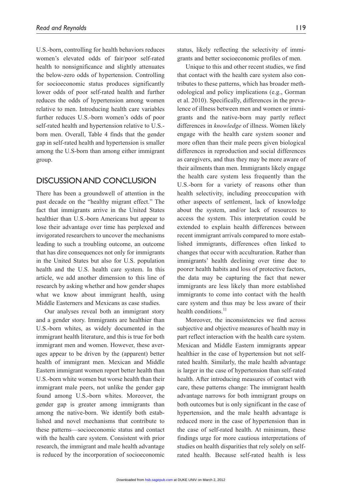U.S.-born, controlling for health behaviors reduces women's elevated odds of fair/poor self-rated health to nonsignificance and slightly attenuates the below-zero odds of hypertension. Controlling for socioeconomic status produces significantly lower odds of poor self-rated health and further reduces the odds of hypertension among women relative to men. Introducing health care variables further reduces U.S.-born women's odds of poor self-rated health and hypertension relative to U.S. born men. Overall, Table 4 finds that the gender gap in self-rated health and hypertension is smaller among the U.S-born than among either immigrant group.

#### Discussionand Conclusion

There has been a groundswell of attention in the past decade on the "healthy migrant effect." The fact that immigrants arrive in the United States healthier than U.S.-born Americans but appear to lose their advantage over time has perplexed and invigorated researchers to uncover the mechanisms leading to such a troubling outcome, an outcome that has dire consequences not only for immigrants in the United States but also for U.S. population health and the U.S. health care system. In this article, we add another dimension to this line of research by asking whether and how gender shapes what we know about immigrant health, using Middle Easterners and Mexicans as case studies.

Our analyses reveal both an immigrant story and a gender story. Immigrants are healthier than U.S.-born whites, as widely documented in the immigrant health literature, and this is true for both immigrant men and women. However, these averages appear to be driven by the (apparent) better health of immigrant men. Mexican and Middle Eastern immigrant women report better health than U.S.-born white women but worse health than their immigrant male peers, not unlike the gender gap found among U.S.-born whites. Moreover, the gender gap is greater among immigrants than among the native-born. We identify both established and novel mechanisms that contribute to these patterns—socioeconomic status and contact with the health care system. Consistent with prior research, the immigrant and male health advantage is reduced by the incorporation of socioeconomic status, likely reflecting the selectivity of immigrants and better socioeconomic profiles of men.

Unique to this and other recent studies, we find that contact with the health care system also contributes to these patterns, which has broader methodological and policy implications (e.g., Gorman et al. 2010). Specifically, differences in the prevalence of illness between men and women or immigrants and the native-born may partly reflect differences in *knowledge* of illness. Women likely engage with the health care system sooner and more often than their male peers given biological differences in reproduction and social differences as caregivers, and thus they may be more aware of their ailments than men. Immigrants likely engage the health care system less frequently than the U.S.-born for a variety of reasons other than health selectivity, including preoccupation with other aspects of settlement, lack of knowledge about the system, and/or lack of resources to access the system. This interpretation could be extended to explain health differences between recent immigrant arrivals compared to more established immigrants, differences often linked to changes that occur with acculturation. Rather than immigrants' health declining over time due to poorer health habits and loss of protective factors, the data may be capturing the fact that newer immigrants are less likely than more established immigrants to come into contact with the health care system and thus may be less aware of their health conditions.<sup>11</sup>

Moreover, the inconsistencies we find across subjective and objective measures of health may in part reflect interaction with the health care system. Mexican and Middle Eastern immigrants appear healthier in the case of hypertension but not selfrated health. Similarly, the male health advantage is larger in the case of hypertension than self-rated health. After introducing measures of contact with care, these patterns change: The immigrant health advantage narrows for both immigrant groups on both outcomes but is only significant in the case of hypertension, and the male health advantage is reduced more in the case of hypertension than in the case of self-rated health. At minimum, these findings urge for more cautious interpretations of studies on health disparities that rely solely on selfrated health. Because self-rated health is less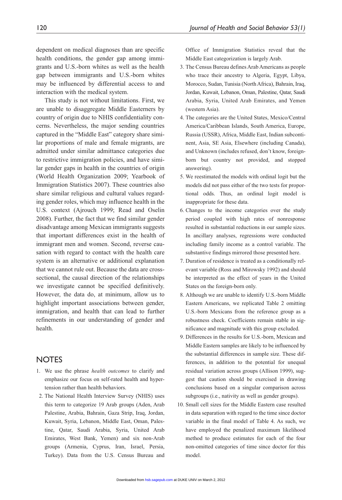dependent on medical diagnoses than are specific health conditions, the gender gap among immigrants and U.S.-born whites as well as the health gap between immigrants and U.S.-born whites may be influenced by differential access to and interaction with the medical system.

This study is not without limitations. First, we are unable to disaggregate Middle Easterners by country of origin due to NHIS confidentiality concerns. Nevertheless, the major sending countries captured in the "Middle East" category share similar proportions of male and female migrants, are admitted under similar admittance categories due to restrictive immigration policies, and have similar gender gaps in health in the countries of origin (World Health Organization 2009; Yearbook of Immigration Statistics 2007). These countries also share similar religious and cultural values regarding gender roles, which may influence health in the U.S. context (Ajrouch 1999; Read and Oselin 2008). Further, the fact that we find similar gender disadvantage among Mexican immigrants suggests that important differences exist in the health of immigrant men and women. Second, reverse causation with regard to contact with the health care system is an alternative or additional explanation that we cannot rule out. Because the data are crosssectional, the causal direction of the relationships we investigate cannot be specified definitively. However, the data do, at minimum, allow us to highlight important associations between gender, immigration, and health that can lead to further refinements in our understanding of gender and health.

#### **NOTES**

- 1. We use the phrase *health outcomes* to clarify and emphasize our focus on self-rated health and hypertension rather than health behaviors.
- 2. The National Health Interview Survey (NHIS) uses this term to categorize 19 Arab groups (Aden, Arab Palestine, Arabia, Bahrain, Gaza Strip, Iraq, Jordan, Kuwait, Syria, Lebanon, Middle East, Oman, Palestine, Qatar, Saudi Arabia, Syria, United Arab Emirates, West Bank, Yemen) and six non-Arab groups (Armenia, Cyprus, Iran, Israel, Persia, Turkey). Data from the U.S. Census Bureau and

Office of Immigration Statistics reveal that the Middle East categorization is largely Arab.

- 3. The Census Bureau defines Arab Americans as people who trace their ancestry to Algeria, Egypt, Libya, Morocco, Sudan, Tunisia (North Africa), Bahrain, Iraq, Jordan, Kuwait, Lebanon, Oman, Palestine, Qatar, Saudi Arabia, Syria, United Arab Emirates, and Yemen (western Asia).
- 4. The categories are the United States, Mexico/Central America/Caribbean Islands, South America, Europe, Russia (USSR), Africa, Middle East, Indian subcontinent, Asia, SE Asia, Elsewhere (including Canada), and Unknown (includes refused, don't know, foreignborn but country not provided, and stopped answering).
- 5. We reestimated the models with ordinal logit but the models did not pass either of the two tests for proportional odds. Thus, an ordinal logit model is inappropriate for these data.
- 6. Changes to the income categories over the study period coupled with high rates of nonresponse resulted in substantial reductions in our sample sizes. In ancillary analyses, regressions were conducted including family income as a control variable. The substantive findings mirrored those presented here.
- 7. Duration of residence is treated as a conditionally relevant variable (Ross and Mirowsky 1992) and should be interpreted as the effect of years in the United States on the foreign-born only.
- 8. Although we are unable to identify U.S.-born Middle Eastern Americans, we replicated Table 2 omitting U.S.-born Mexicans from the reference group as a robustness check. Coefficients remain stable in significance and magnitude with this group excluded.
- 9. Differences in the results for U.S.-born, Mexican and Middle Eastern samples are likely to be influenced by the substantial differences in sample size. These differences, in addition to the potential for unequal residual variation across groups (Allison 1999), suggest that caution should be exercised in drawing conclusions based on a singular comparison across subgroups (i.e., nativity as well as gender groups).
- 10. Small cell sizes for the Middle Eastern case resulted in data separation with regard to the time since doctor variable in the final model of Table 4. As such, we have employed the penalized maximum likelihood method to produce estimates for each of the four non-omitted categories of time since doctor for this model.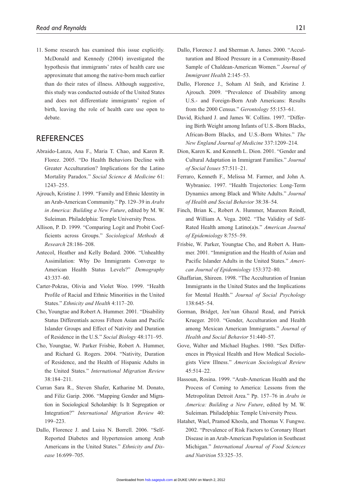11. Some research has examined this issue explicitly. McDonald and Kennedy (2004) investigated the hypothesis that immigrants' rates of health care use approximate that among the native-born much earlier than do their rates of illness. Although suggestive, this study was conducted outside of the United States and does not differentiate immigrants' region of birth, leaving the role of health care use open to debate.

#### **REFERENCES**

- Abraido-Lanza, Ana F., Maria T. Chao, and Karen R. Florez. 2005. "Do Health Behaviors Decline with Greater Acculturation? Implications for the Latino Mortality Paradox." *Social Science & Medicine* 61: 1243–255.
- Ajrouch, Kristine J. 1999. "Family and Ethnic Identity in an Arab-American Community." Pp. 129–39 in *Arabs in America: Building a New Future*, edited by M. W. Suleiman. Philadelphia: Temple University Press.
- Allison, P. D. 1999. "Comparing Logit and Probit Coefficients across Groups." *Sociological Methods & Research* 28:186–208.
- Antecol, Heather and Kelly Bedard. 2006. "Unhealthy Assimilation: Why Do Immigrants Converge to American Health Status Levels?" *Demography* 43:337–60.
- Carter-Pokras, Olivia and Violet Woo. 1999. "Health Profile of Racial and Ethnic Minorities in the United States." *Ethnicity and Health* 4:117–20.
- Cho, Youngtae and Robert A. Hummer. 2001. "Disability Status Differentials across Fifteen Asian and Pacific Islander Groups and Effect of Nativity and Duration of Residence in the U.S." *Social Biology* 48:171–95.
- Cho, Youngtae, W. Parker Frisbie, Robert A. Hummer, and Richard G. Rogers. 2004. "Nativity, Duration of Residence, and the Health of Hispanic Adults in the United States." *International Migration Review* 38:184–211.
- Curran Sara R., Steven Shafer, Katharine M. Donato, and Filiz Garip. 2006. "Mapping Gender and Migration in Sociological Scholarship: Is It Segregation or Integration?" *International Migration Review* 40: 199–223.
- Dallo, Florence J. and Luisa N. Borrell. 2006. "Self-Reported Diabetes and Hypertension among Arab Americans in the United States." *Ethnicity and Disease* 16:699–705.
- Dallo, Florence J. and Sherman A. James. 2000. "Acculturation and Blood Pressure in a Community-Based Sample of Chaldean-American Women." *Journal of Immigrant Health* 2:145–53.
- Dallo, Florence J., Soham Al Snih, and Kristine J. Ajrouch. 2009. "Prevalence of Disability among U.S.- and Foreign-Born Arab Americans: Results from the 2000 Census." *Gerontology* 55:153–61.
- David, Richard J. and James W. Collins. 1997. "Differing Birth Weight among Infants of U.S.-Born Blacks, African-Born Blacks, and U.S.-Born Whites." *The New England Journal of Medicine* 337:1209–214.
- Dion, Karen K. and Kenneth L. Dion. 2001. "Gender and Cultural Adaptation in Immigrant Families." *Journal of Social Issues* 57:511–21.
- Ferraro, Kenneth F., Melissa M. Farmer, and John A. Wybraniec. 1997. "Health Trajectories: Long-Term Dynamics among Black and White Adults." *Journal of Health and Social Behavior* 38:38–54.
- Finch, Brian K., Robert A. Hummer, Maureen Reindl, and William A. Vega. 2002. "The Validity of Self-Rated Health among Latino(a)s." *American Journal of Epidemiology* 8:755–59.
- Frisbie, W. Parker, Youngtae Cho, and Robert A. Hummer. 2001. "Immigration and the Health of Asian and Pacific Islander Adults in the United States." *American Journal of Epidemiology* 153:372–80.
- Ghaffarian, Shireen. 1998. "The Acculturation of Iranian Immigrants in the United States and the Implications for Mental Health." *Journal of Social Psychology* 138:645–54.
- Gorman, Bridget, Jen'nan Ghazal Read, and Patrick Krueger. 2010. "Gender, Acculturation and Health among Mexican American Immigrants." *Journal of Health and Social Behavior* 51:440–57.
- Gove, Walter and Michael Hughes. 1980. "Sex Differences in Physical Health and How Medical Sociologists View Illness." *American Sociological Review* 45:514–22.
- Hassoun, Rosina. 1999. "Arab-American Health and the Process of Coming to America: Lessons from the Metropolitan Detroit Area." Pp. 157–76 in *Arabs in America: Building a New Future*, edited by M. W. Suleiman. Philadelphia: Temple University Press.
- Hatahet, Wael, Pramod Khosla, and Thomas V. Fungwe. 2002. "Prevalence of Risk Factors to Coronary Heart Disease in an Arab-American Population in Southeast Michigan." *International Journal of Food Sciences and Nutrition* 53:325–35.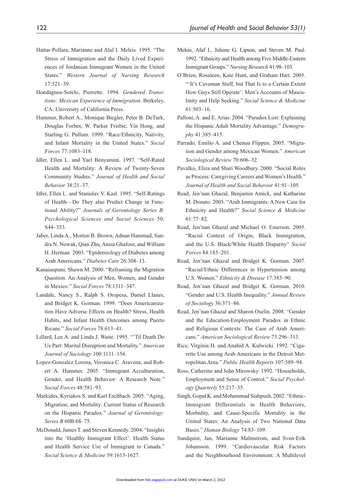- Hattar-Pollara, Marianne and Alaf I. Meleis. 1995. "The Stress of Immigration and the Daily Lived Experiences of Jordanian Immigrant Women in the United States." *Western Journal of Nursing Research* 17:521–39.
- Hondagneu-Sotelo, Pierrette. 1994. *Gendered Transitions: Mexican Experience of Immigration*. Berkeley, CA: University of California Press.
- Hummer, Robert A., Monique Biegler, Peter B. DeTurk, Douglas Forbes, W. Parker Frisbie, Yin Hong, and Starling G. Pullum. 1999. "Race/Ethnicity, Nativity, and Infant Mortality in the United States." *Social Forces* 77:1083–118.
- Idler, Ellen L. and Yael Benyamini. 1997. "Self-Rated Health and Mortality: A Review of Twenty-Seven Community Studies." *Journal of Health and Social Behavior* 38:21–37.
- Idler, Ellen L. and Stanislav V. Kasl. 1995. "Self-Ratings of Health—Do They also Predict Change in Functional Ability?" *Journals of Gerontology Series B: Psychological Sciences and Social Sciences* 50: S44–353.
- Jaber, Linda A., Morton B. Brown, Adnan Hammad, Sandra N. Nowak, Qian Zhu, Anisa Ghafoor, and William H. Herman. 2003. "Epidemiology of Diabetes among Arab Americans." *Diabetes Care* 26:308–13.
- Kanaiaupuni, Shawn M. 2000. "Reframing the Migration Question: An Analysis of Men, Women, and Gender in Mexico." *Social Forces* 78:1311–347.
- Landale, Nancy S., Ralph S. Oropesa, Daniel Llanes, and Bridget K. Gorman. 1999. "Does Americanization Have Adverse Effects on Health? Stress, Health Habits, and Infant Health Outcomes among Puerto Ricans." *Social Forces* 78:613–41.
- Lillard, Lee A. and Linda J. Waite. 1995. "'Til Death Do Us Part: Marital Disruption and Mortality." *American Journal of Sociology* 100:1131–156.
- Lopez-Gonzalez Lorena, Veronica C. Aravena, and Robert A. Hummer. 2005. "Immigrant Acculturation, Gender, and Health Behavior: A Research Note." *Social Forces* 48:581–93.
- Markides, Kyriakos S. and Karl Eschbach. 2005. "Aging, Migration, and Mortality: Current Status of Research on the Hispanic Paradox." *Journal of Gerontology: Series B* 60B:68–75.
- McDonald, James T. and Steven Kennedy. 2004. "Insights into the 'Healthy Immigrant Effect': Health Status and Health Service Use of Immigrant to Canada." *Social Science & Medicine* 59:1613-1627.
- Meleis, Afaf I., Juliene G. Lipson, and Steven M. Paul. 1992. "Ethnicity and Health among Five Middle-Eastern Immigrant Groups." *Nursing Research* 41:98–103.
- O'Brien, Rosaleen, Kate Hunt, and Graham Hart. 2005. "'It's Caveman Stuff, but That Is to a Certain Extent How Guys Still Operate': Men's Accounts of Masculinity and Help Seeking." *Social Science & Medicine* 61:503–16.
- Palloni, A. and E. Arias. 2004. "Paradox Lost: Explaining the Hispanic Adult Mortality Advantage." *Demography* 41:385–415.
- Parrado, Emilio A. and Chenoa Flippen. 2005. "Migration and Gender among Mexican Women." *American Sociological Review* 70:606–32.
- Pavalko, Eliza and Shari Woodbury. 2000. "Social Roles as Process: Caregiving Careers and Women's Health." *Journal of Health and Social Behavior* 41:91–105.
- Read, Jen'nan Ghazal, Benjamin Amick, and Katharine M. Donato. 2005. "Arab Immigrants: A New Case for Ethnicity and Health?" *Social Science & Medicine* 61:77–82.
- Read, Jen'nan Ghazal and Michael O. Emerson. 2005. "Racial Context of Origin, Black Immigration, and the U.S. Black/White Health Disparity" *Social Forces* 84:183–201.
- Read, Jen'nan Ghazal and Bridget K. Gorman. 2007. "Racial/Ethnic Differences in Hypertension among U.S. Women." *Ethnicity & Disease* 17:383–90.
- Read, Jen'nan Ghazal and Bridget K. Gorman. 2010. "Gender and U.S. Health Inequality." *Annual Review of Sociology* 36:371–86.
- Read, Jen'nan Ghazal and Sharon Oselin. 2008. "Gender and the Education-Employment Paradox in Ethnic and Religious Contexts: The Case of Arab Americans." *American Sociological Review* 73:296–313.
- Rice, Virginia H. and Anahid A. Kulwicki. 1992. "Cigarette Use among Arab Americans in the Detroit Metropolitan Area." *Public Health Reports* 107:589–94.
- Ross, Catherine and John Mirowsky. 1992. "Households, Employment and Sense of Control." *Social Psychology Quarterly* 55:217–35.
- Singh, Gopal K. and Mohammad Siahpush. 2002. "Ethnic-Immigrant Differentials in Health Behaviors, Morbidity, and Cause-Specific Mortality in the United States: An Analysis of Two National Data Bases." *Human Biology* 74:83–109.
- Sundquist, Jan, Marianne Malmstrom, and Sven-Erik Johansson. 1999. "Cardiovascular Risk Factors and the Neighbourhood Environment: A Multilevel